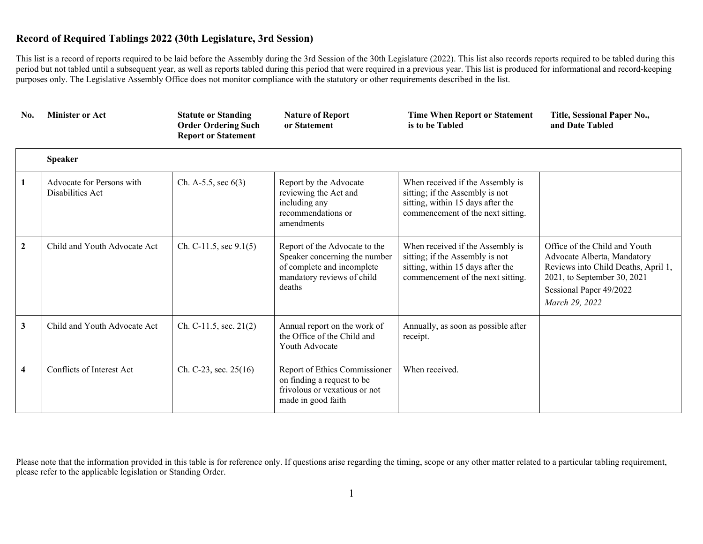This list is a record of reports required to be laid before the Assembly during the 3rd Session of the 30th Legislature (2022). This list also records reports required to be tabled during this period but not tabled until a subsequent year, as well as reports tabled during this period that were required in a previous year. This list is produced for informational and record-keeping purposes only. The Legislative Assembly Office does not monitor compliance with the statutory or other requirements described in the list.

| No.                     | <b>Minister or Act</b>                        | <b>Statute or Standing</b><br><b>Order Ordering Such</b><br><b>Report or Statement</b> | <b>Nature of Report</b><br>or Statement                                                                                              | <b>Time When Report or Statement</b><br>is to be Tabled                                                                                       | Title, Sessional Paper No.,<br>and Date Tabled                                                                                                                                  |
|-------------------------|-----------------------------------------------|----------------------------------------------------------------------------------------|--------------------------------------------------------------------------------------------------------------------------------------|-----------------------------------------------------------------------------------------------------------------------------------------------|---------------------------------------------------------------------------------------------------------------------------------------------------------------------------------|
|                         | <b>Speaker</b>                                |                                                                                        |                                                                                                                                      |                                                                                                                                               |                                                                                                                                                                                 |
| 1                       | Advocate for Persons with<br>Disabilities Act | Ch. A-5.5, sec $6(3)$                                                                  | Report by the Advocate<br>reviewing the Act and<br>including any<br>recommendations or<br>amendments                                 | When received if the Assembly is<br>sitting; if the Assembly is not<br>sitting, within 15 days after the<br>commencement of the next sitting. |                                                                                                                                                                                 |
| $\overline{2}$          | Child and Youth Advocate Act                  | Ch. C-11.5, sec $9.1(5)$                                                               | Report of the Advocate to the<br>Speaker concerning the number<br>of complete and incomplete<br>mandatory reviews of child<br>deaths | When received if the Assembly is<br>sitting; if the Assembly is not<br>sitting, within 15 days after the<br>commencement of the next sitting. | Office of the Child and Youth<br>Advocate Alberta, Mandatory<br>Reviews into Child Deaths, April 1,<br>2021, to September 30, 2021<br>Sessional Paper 49/2022<br>March 29, 2022 |
| 3                       | Child and Youth Advocate Act                  | Ch. C-11.5, sec. $21(2)$                                                               | Annual report on the work of<br>the Office of the Child and<br>Youth Advocate                                                        | Annually, as soon as possible after<br>receipt.                                                                                               |                                                                                                                                                                                 |
| $\overline{\mathbf{4}}$ | Conflicts of Interest Act                     | Ch. C-23, sec. $25(16)$                                                                | Report of Ethics Commissioner<br>on finding a request to be<br>frivolous or vexatious or not<br>made in good faith                   | When received.                                                                                                                                |                                                                                                                                                                                 |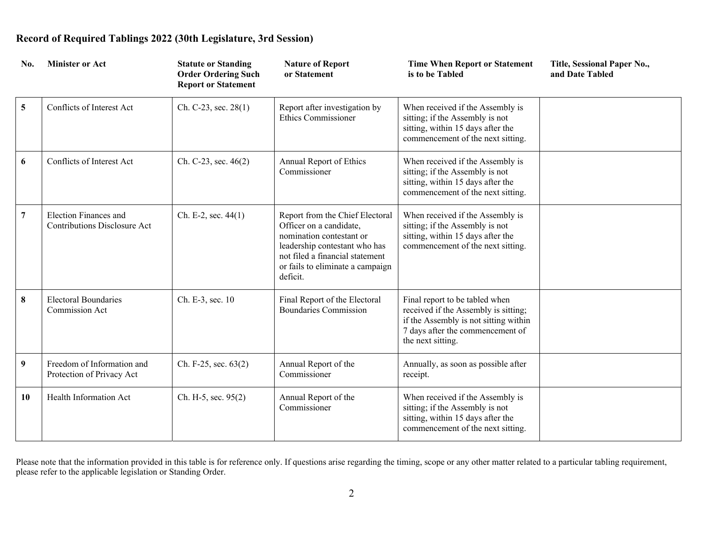| No.             | <b>Minister or Act</b>                                       | <b>Statute or Standing</b><br><b>Order Ordering Such</b><br><b>Report or Statement</b> | <b>Nature of Report</b><br>or Statement                                                                                                                                                                    | <b>Time When Report or Statement</b><br>is to be Tabled                                                                                                                  | Title, Sessional Paper No.,<br>and Date Tabled |
|-----------------|--------------------------------------------------------------|----------------------------------------------------------------------------------------|------------------------------------------------------------------------------------------------------------------------------------------------------------------------------------------------------------|--------------------------------------------------------------------------------------------------------------------------------------------------------------------------|------------------------------------------------|
| $5\overline{)}$ | Conflicts of Interest Act                                    | Ch. C-23, sec. 28(1)                                                                   | Report after investigation by<br><b>Ethics Commissioner</b>                                                                                                                                                | When received if the Assembly is<br>sitting; if the Assembly is not<br>sitting, within 15 days after the<br>commencement of the next sitting.                            |                                                |
| 6               | Conflicts of Interest Act                                    | Ch. C-23, sec. 46(2)                                                                   | Annual Report of Ethics<br>Commissioner                                                                                                                                                                    | When received if the Assembly is<br>sitting; if the Assembly is not<br>sitting, within 15 days after the<br>commencement of the next sitting.                            |                                                |
| $\overline{7}$  | Election Finances and<br><b>Contributions Disclosure Act</b> | Ch. E-2, sec. $44(1)$                                                                  | Report from the Chief Electoral<br>Officer on a candidate,<br>nomination contestant or<br>leadership contestant who has<br>not filed a financial statement<br>or fails to eliminate a campaign<br>deficit. | When received if the Assembly is<br>sitting; if the Assembly is not<br>sitting, within 15 days after the<br>commencement of the next sitting.                            |                                                |
| 8               | <b>Electoral Boundaries</b><br>Commission Act                | Ch. E-3, sec. 10                                                                       | Final Report of the Electoral<br><b>Boundaries Commission</b>                                                                                                                                              | Final report to be tabled when<br>received if the Assembly is sitting;<br>if the Assembly is not sitting within<br>7 days after the commencement of<br>the next sitting. |                                                |
| 9               | Freedom of Information and<br>Protection of Privacy Act      | Ch. F-25, sec. 63(2)                                                                   | Annual Report of the<br>Commissioner                                                                                                                                                                       | Annually, as soon as possible after<br>receipt.                                                                                                                          |                                                |
| 10              | Health Information Act                                       | Ch. H-5, sec. 95(2)                                                                    | Annual Report of the<br>Commissioner                                                                                                                                                                       | When received if the Assembly is<br>sitting; if the Assembly is not<br>sitting, within 15 days after the<br>commencement of the next sitting.                            |                                                |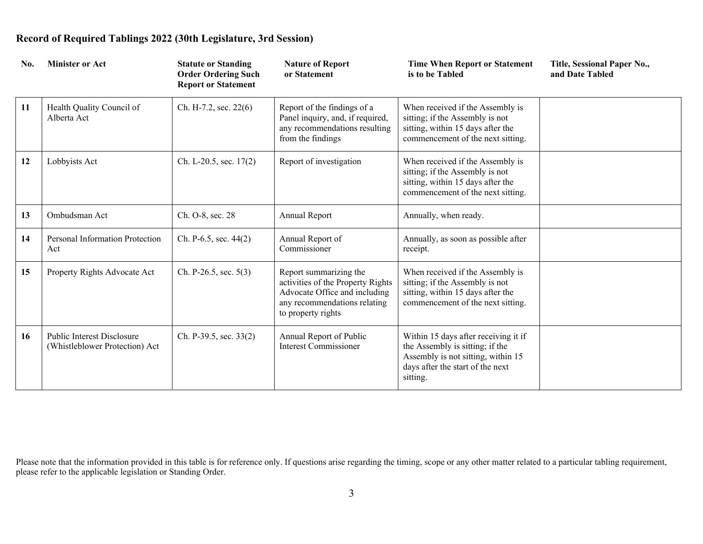| No. | <b>Minister or Act</b>                                              | <b>Statute or Standing</b><br><b>Order Ordering Such</b><br><b>Report or Statement</b> | <b>Nature of Report</b><br>or Statement                                                                                                            | <b>Time When Report or Statement</b><br>is to be Tabled                                                                                                       | Title, Sessional Paper No.,<br>and Date Tabled |
|-----|---------------------------------------------------------------------|----------------------------------------------------------------------------------------|----------------------------------------------------------------------------------------------------------------------------------------------------|---------------------------------------------------------------------------------------------------------------------------------------------------------------|------------------------------------------------|
| 11  | Health Quality Council of<br>Alberta Act                            | Ch. H-7.2, sec. 22(6)                                                                  | Report of the findings of a<br>Panel inquiry, and, if required,<br>any recommendations resulting<br>from the findings                              | When received if the Assembly is<br>sitting; if the Assembly is not<br>sitting, within 15 days after the<br>commencement of the next sitting.                 |                                                |
| 12  | Lobbyists Act                                                       | Ch. L-20.5, sec. 17(2)                                                                 | Report of investigation                                                                                                                            | When received if the Assembly is<br>sitting; if the Assembly is not<br>sitting, within 15 days after the<br>commencement of the next sitting.                 |                                                |
| 13  | Ombudsman Act                                                       | Ch. O-8, sec. 28                                                                       | Annual Report                                                                                                                                      | Annually, when ready.                                                                                                                                         |                                                |
| 14  | Personal Information Protection<br>Act                              | Ch. P-6.5, sec. $44(2)$                                                                | Annual Report of<br>Commissioner                                                                                                                   | Annually, as soon as possible after<br>receipt.                                                                                                               |                                                |
| 15  | Property Rights Advocate Act                                        | Ch. P-26.5, sec. $5(3)$                                                                | Report summarizing the<br>activities of the Property Rights<br>Advocate Office and including<br>any recommendations relating<br>to property rights | When received if the Assembly is<br>sitting; if the Assembly is not<br>sitting, within 15 days after the<br>commencement of the next sitting.                 |                                                |
| 16  | <b>Public Interest Disclosure</b><br>(Whistleblower Protection) Act | Ch. P-39.5, sec. 33(2)                                                                 | Annual Report of Public<br><b>Interest Commissioner</b>                                                                                            | Within 15 days after receiving it if<br>the Assembly is sitting; if the<br>Assembly is not sitting, within 15<br>days after the start of the next<br>sitting. |                                                |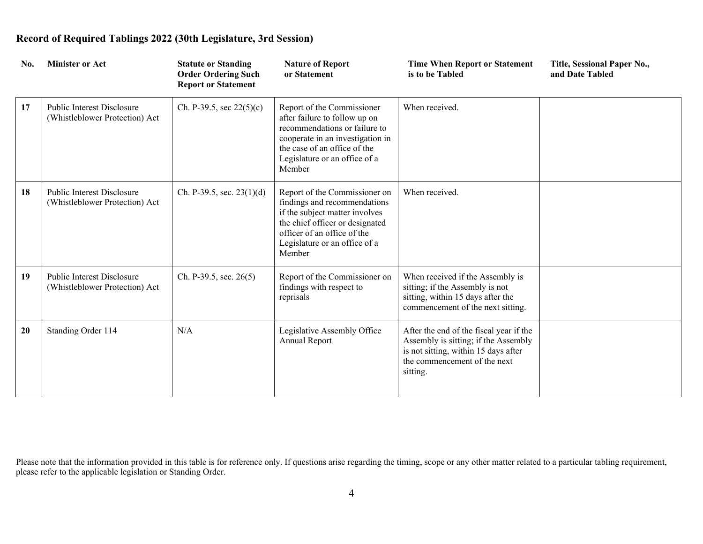| No. | <b>Minister or Act</b>                                              | <b>Statute or Standing</b><br><b>Order Ordering Such</b><br><b>Report or Statement</b> | <b>Nature of Report</b><br>or Statement                                                                                                                                                                      | <b>Time When Report or Statement</b><br>is to be Tabled                                                                                                             | Title, Sessional Paper No.,<br>and Date Tabled |
|-----|---------------------------------------------------------------------|----------------------------------------------------------------------------------------|--------------------------------------------------------------------------------------------------------------------------------------------------------------------------------------------------------------|---------------------------------------------------------------------------------------------------------------------------------------------------------------------|------------------------------------------------|
| 17  | Public Interest Disclosure<br>(Whistleblower Protection) Act        | Ch. P-39.5, sec $22(5)(c)$                                                             | Report of the Commissioner<br>after failure to follow up on<br>recommendations or failure to<br>cooperate in an investigation in<br>the case of an office of the<br>Legislature or an office of a<br>Member  | When received.                                                                                                                                                      |                                                |
| 18  | <b>Public Interest Disclosure</b><br>(Whistleblower Protection) Act | Ch. P-39.5, sec. $23(1)(d)$                                                            | Report of the Commissioner on<br>findings and recommendations<br>if the subject matter involves<br>the chief officer or designated<br>officer of an office of the<br>Legislature or an office of a<br>Member | When received.                                                                                                                                                      |                                                |
| 19  | Public Interest Disclosure<br>(Whistleblower Protection) Act        | Ch. P-39.5, sec. $26(5)$                                                               | Report of the Commissioner on<br>findings with respect to<br>reprisals                                                                                                                                       | When received if the Assembly is<br>sitting; if the Assembly is not<br>sitting, within 15 days after the<br>commencement of the next sitting.                       |                                                |
| 20  | Standing Order 114                                                  | N/A                                                                                    | Legislative Assembly Office<br>Annual Report                                                                                                                                                                 | After the end of the fiscal year if the<br>Assembly is sitting; if the Assembly<br>is not sitting, within 15 days after<br>the commencement of the next<br>sitting. |                                                |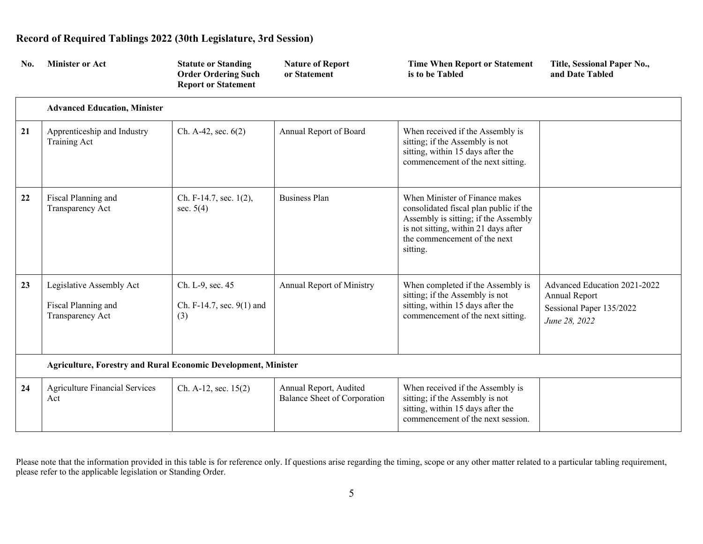| No. | <b>Minister or Act</b>                                                | <b>Statute or Standing</b><br><b>Order Ordering Such</b><br><b>Report or Statement</b> | <b>Nature of Report</b><br>or Statement                | <b>Time When Report or Statement</b><br>is to be Tabled                                                                                                                                              | Title, Sessional Paper No.,<br>and Date Tabled                                             |
|-----|-----------------------------------------------------------------------|----------------------------------------------------------------------------------------|--------------------------------------------------------|------------------------------------------------------------------------------------------------------------------------------------------------------------------------------------------------------|--------------------------------------------------------------------------------------------|
|     | <b>Advanced Education, Minister</b>                                   |                                                                                        |                                                        |                                                                                                                                                                                                      |                                                                                            |
| 21  | Apprenticeship and Industry<br>Training Act                           | Ch. A-42, sec. $6(2)$                                                                  | Annual Report of Board                                 | When received if the Assembly is<br>sitting; if the Assembly is not<br>sitting, within 15 days after the<br>commencement of the next sitting.                                                        |                                                                                            |
| 22  | Fiscal Planning and<br>Transparency Act                               | Ch. F-14.7, sec. 1(2),<br>sec. $5(4)$                                                  | <b>Business Plan</b>                                   | When Minister of Finance makes<br>consolidated fiscal plan public if the<br>Assembly is sitting; if the Assembly<br>is not sitting, within 21 days after<br>the commencement of the next<br>sitting. |                                                                                            |
| 23  | Legislative Assembly Act<br>Fiscal Planning and<br>Transparency Act   | Ch. L-9, sec. 45<br>Ch. F-14.7, sec. 9(1) and<br>(3)                                   | Annual Report of Ministry                              | When completed if the Assembly is<br>sitting; if the Assembly is not<br>sitting, within 15 days after the<br>commencement of the next sitting.                                                       | Advanced Education 2021-2022<br>Annual Report<br>Sessional Paper 135/2022<br>June 28, 2022 |
|     | <b>Agriculture, Forestry and Rural Economic Development, Minister</b> |                                                                                        |                                                        |                                                                                                                                                                                                      |                                                                                            |
| 24  | <b>Agriculture Financial Services</b><br>Act                          | Ch. A-12, sec. $15(2)$                                                                 | Annual Report, Audited<br>Balance Sheet of Corporation | When received if the Assembly is<br>sitting; if the Assembly is not<br>sitting, within 15 days after the<br>commencement of the next session.                                                        |                                                                                            |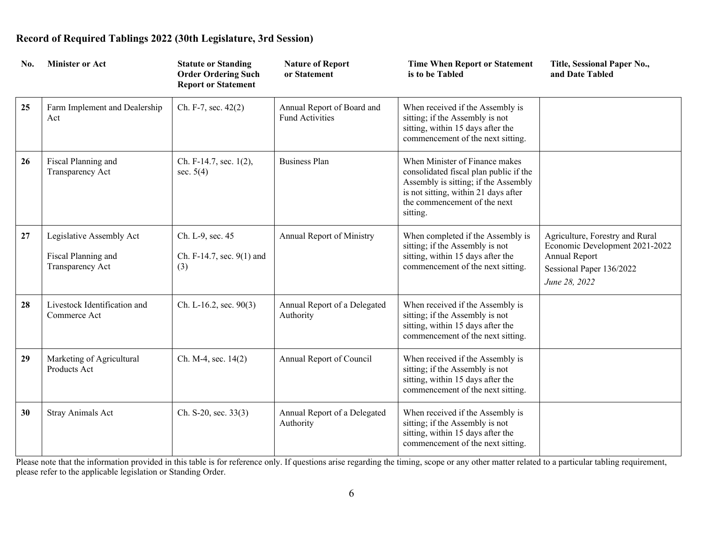| No. | <b>Minister or Act</b>                                              | <b>Statute or Standing</b><br><b>Order Ordering Such</b><br><b>Report or Statement</b> | <b>Nature of Report</b><br>or Statement              | <b>Time When Report or Statement</b><br>is to be Tabled                                                                                                                                              | Title, Sessional Paper No.,<br>and Date Tabled                                                                                  |
|-----|---------------------------------------------------------------------|----------------------------------------------------------------------------------------|------------------------------------------------------|------------------------------------------------------------------------------------------------------------------------------------------------------------------------------------------------------|---------------------------------------------------------------------------------------------------------------------------------|
| 25  | Farm Implement and Dealership<br>Act                                | Ch. F-7, sec. 42(2)                                                                    | Annual Report of Board and<br><b>Fund Activities</b> | When received if the Assembly is<br>sitting; if the Assembly is not<br>sitting, within 15 days after the<br>commencement of the next sitting.                                                        |                                                                                                                                 |
| 26  | Fiscal Planning and<br>Transparency Act                             | Ch. F-14.7, sec. 1(2),<br>sec. $5(4)$                                                  | <b>Business Plan</b>                                 | When Minister of Finance makes<br>consolidated fiscal plan public if the<br>Assembly is sitting; if the Assembly<br>is not sitting, within 21 days after<br>the commencement of the next<br>sitting. |                                                                                                                                 |
| 27  | Legislative Assembly Act<br>Fiscal Planning and<br>Transparency Act | Ch. L-9, sec. 45<br>Ch. F-14.7, sec. 9(1) and<br>(3)                                   | Annual Report of Ministry                            | When completed if the Assembly is<br>sitting; if the Assembly is not<br>sitting, within 15 days after the<br>commencement of the next sitting.                                                       | Agriculture, Forestry and Rural<br>Economic Development 2021-2022<br>Annual Report<br>Sessional Paper 136/2022<br>June 28, 2022 |
| 28  | Livestock Identification and<br>Commerce Act                        | Ch. L-16.2, sec. $90(3)$                                                               | Annual Report of a Delegated<br>Authority            | When received if the Assembly is<br>sitting; if the Assembly is not<br>sitting, within 15 days after the<br>commencement of the next sitting.                                                        |                                                                                                                                 |
| 29  | Marketing of Agricultural<br>Products Act                           | Ch. M-4, sec. 14(2)                                                                    | Annual Report of Council                             | When received if the Assembly is<br>sitting; if the Assembly is not<br>sitting, within 15 days after the<br>commencement of the next sitting.                                                        |                                                                                                                                 |
| 30  | Stray Animals Act                                                   | Ch. S-20, sec. $33(3)$                                                                 | Annual Report of a Delegated<br>Authority            | When received if the Assembly is<br>sitting; if the Assembly is not<br>sitting, within 15 days after the<br>commencement of the next sitting.                                                        |                                                                                                                                 |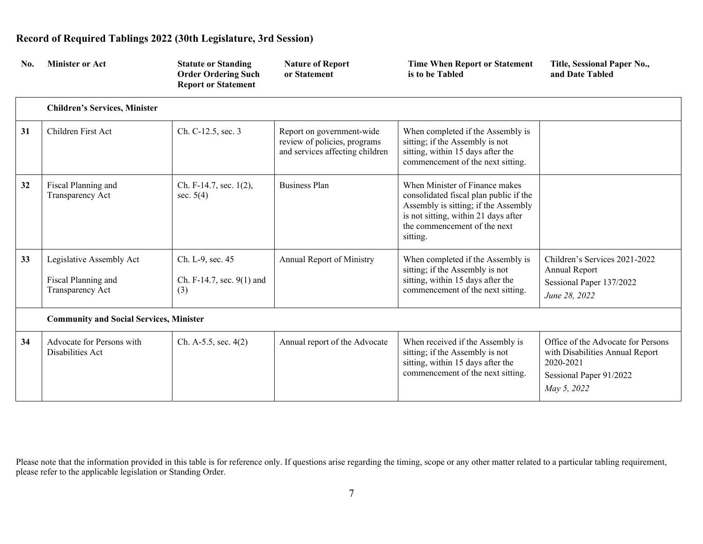| No. | <b>Minister or Act</b>                                              | <b>Statute or Standing</b><br><b>Order Ordering Such</b><br><b>Report or Statement</b> | <b>Nature of Report</b><br>or Statement                                                      | <b>Time When Report or Statement</b><br>is to be Tabled                                                                                                                                              | Title, Sessional Paper No.,<br>and Date Tabled                                                                               |
|-----|---------------------------------------------------------------------|----------------------------------------------------------------------------------------|----------------------------------------------------------------------------------------------|------------------------------------------------------------------------------------------------------------------------------------------------------------------------------------------------------|------------------------------------------------------------------------------------------------------------------------------|
|     | <b>Children's Services, Minister</b>                                |                                                                                        |                                                                                              |                                                                                                                                                                                                      |                                                                                                                              |
| 31  | Children First Act                                                  | Ch. C-12.5, sec. 3                                                                     | Report on government-wide<br>review of policies, programs<br>and services affecting children | When completed if the Assembly is<br>sitting; if the Assembly is not<br>sitting, within 15 days after the<br>commencement of the next sitting.                                                       |                                                                                                                              |
| 32  | Fiscal Planning and<br>Transparency Act                             | Ch. F-14.7, sec. 1(2),<br>sec. $5(4)$                                                  | <b>Business Plan</b>                                                                         | When Minister of Finance makes<br>consolidated fiscal plan public if the<br>Assembly is sitting; if the Assembly<br>is not sitting, within 21 days after<br>the commencement of the next<br>sitting. |                                                                                                                              |
| 33  | Legislative Assembly Act<br>Fiscal Planning and<br>Transparency Act | Ch. L-9, sec. 45<br>Ch. F-14.7, sec. 9(1) and<br>(3)                                   | Annual Report of Ministry                                                                    | When completed if the Assembly is<br>sitting; if the Assembly is not<br>sitting, within 15 days after the<br>commencement of the next sitting.                                                       | Children's Services 2021-2022<br>Annual Report<br>Sessional Paper 137/2022<br>June 28, 2022                                  |
|     | <b>Community and Social Services, Minister</b>                      |                                                                                        |                                                                                              |                                                                                                                                                                                                      |                                                                                                                              |
| 34  | Advocate for Persons with<br>Disabilities Act                       | Ch. A-5.5, sec. 4(2)                                                                   | Annual report of the Advocate                                                                | When received if the Assembly is<br>sitting; if the Assembly is not<br>sitting, within 15 days after the<br>commencement of the next sitting.                                                        | Office of the Advocate for Persons<br>with Disabilities Annual Report<br>2020-2021<br>Sessional Paper 91/2022<br>May 5, 2022 |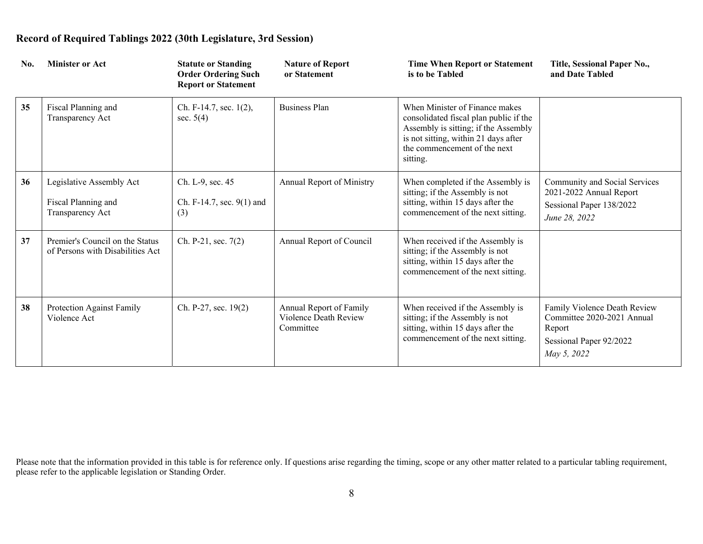| No. | <b>Minister or Act</b>                                              | <b>Statute or Standing</b><br><b>Order Ordering Such</b><br><b>Report or Statement</b> | <b>Nature of Report</b><br>or Statement                       | <b>Time When Report or Statement</b><br>is to be Tabled                                                                                                                                              | Title, Sessional Paper No.,<br>and Date Tabled                                                                 |
|-----|---------------------------------------------------------------------|----------------------------------------------------------------------------------------|---------------------------------------------------------------|------------------------------------------------------------------------------------------------------------------------------------------------------------------------------------------------------|----------------------------------------------------------------------------------------------------------------|
| 35  | Fiscal Planning and<br>Transparency Act                             | Ch. F-14.7, sec. 1(2),<br>sec. $5(4)$                                                  | <b>Business Plan</b>                                          | When Minister of Finance makes<br>consolidated fiscal plan public if the<br>Assembly is sitting; if the Assembly<br>is not sitting, within 21 days after<br>the commencement of the next<br>sitting. |                                                                                                                |
| 36  | Legislative Assembly Act<br>Fiscal Planning and<br>Transparency Act | Ch. L-9, sec. 45<br>Ch. F-14.7, sec. 9(1) and<br>(3)                                   | Annual Report of Ministry                                     | When completed if the Assembly is<br>sitting; if the Assembly is not<br>sitting, within 15 days after the<br>commencement of the next sitting.                                                       | Community and Social Services<br>2021-2022 Annual Report<br>Sessional Paper 138/2022<br>June 28, 2022          |
| 37  | Premier's Council on the Status<br>of Persons with Disabilities Act | Ch. P-21, sec. 7(2)                                                                    | Annual Report of Council                                      | When received if the Assembly is<br>sitting; if the Assembly is not<br>sitting, within 15 days after the<br>commencement of the next sitting.                                                        |                                                                                                                |
| 38  | Protection Against Family<br>Violence Act                           | Ch. P-27, sec. 19(2)                                                                   | Annual Report of Family<br>Violence Death Review<br>Committee | When received if the Assembly is<br>sitting; if the Assembly is not<br>sitting, within 15 days after the<br>commencement of the next sitting.                                                        | Family Violence Death Review<br>Committee 2020-2021 Annual<br>Report<br>Sessional Paper 92/2022<br>May 5, 2022 |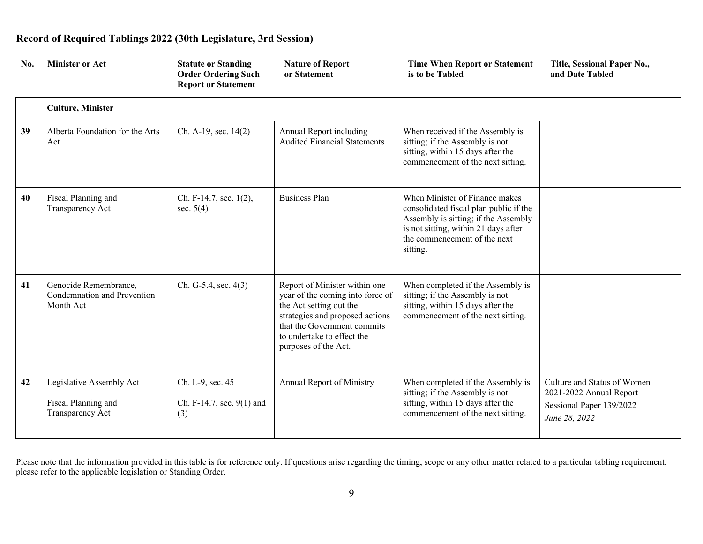| No. | <b>Minister or Act</b>                                              | <b>Statute or Standing</b><br><b>Order Ordering Such</b><br><b>Report or Statement</b> | <b>Nature of Report</b><br>or Statement                                                                                                                                                                              | <b>Time When Report or Statement</b><br>is to be Tabled                                                                                                                                              | Title, Sessional Paper No.,<br>and Date Tabled                                                      |
|-----|---------------------------------------------------------------------|----------------------------------------------------------------------------------------|----------------------------------------------------------------------------------------------------------------------------------------------------------------------------------------------------------------------|------------------------------------------------------------------------------------------------------------------------------------------------------------------------------------------------------|-----------------------------------------------------------------------------------------------------|
|     | <b>Culture, Minister</b>                                            |                                                                                        |                                                                                                                                                                                                                      |                                                                                                                                                                                                      |                                                                                                     |
| 39  | Alberta Foundation for the Arts<br>Act                              | Ch. A-19, sec. 14(2)                                                                   | Annual Report including<br><b>Audited Financial Statements</b>                                                                                                                                                       | When received if the Assembly is<br>sitting; if the Assembly is not<br>sitting, within 15 days after the<br>commencement of the next sitting.                                                        |                                                                                                     |
| 40  | Fiscal Planning and<br>Transparency Act                             | Ch. F-14.7, sec. $1(2)$ ,<br>sec. $5(4)$                                               | <b>Business Plan</b>                                                                                                                                                                                                 | When Minister of Finance makes<br>consolidated fiscal plan public if the<br>Assembly is sitting; if the Assembly<br>is not sitting, within 21 days after<br>the commencement of the next<br>sitting. |                                                                                                     |
| 41  | Genocide Remembrance,<br>Condemnation and Prevention<br>Month Act   | Ch. G-5.4, sec. 4(3)                                                                   | Report of Minister within one<br>year of the coming into force of<br>the Act setting out the<br>strategies and proposed actions<br>that the Government commits<br>to undertake to effect the<br>purposes of the Act. | When completed if the Assembly is<br>sitting; if the Assembly is not<br>sitting, within 15 days after the<br>commencement of the next sitting.                                                       |                                                                                                     |
| 42  | Legislative Assembly Act<br>Fiscal Planning and<br>Transparency Act | Ch. L-9, sec. 45<br>Ch. F-14.7, sec. 9(1) and<br>(3)                                   | Annual Report of Ministry                                                                                                                                                                                            | When completed if the Assembly is<br>sitting; if the Assembly is not<br>sitting, within 15 days after the<br>commencement of the next sitting.                                                       | Culture and Status of Women<br>2021-2022 Annual Report<br>Sessional Paper 139/2022<br>June 28, 2022 |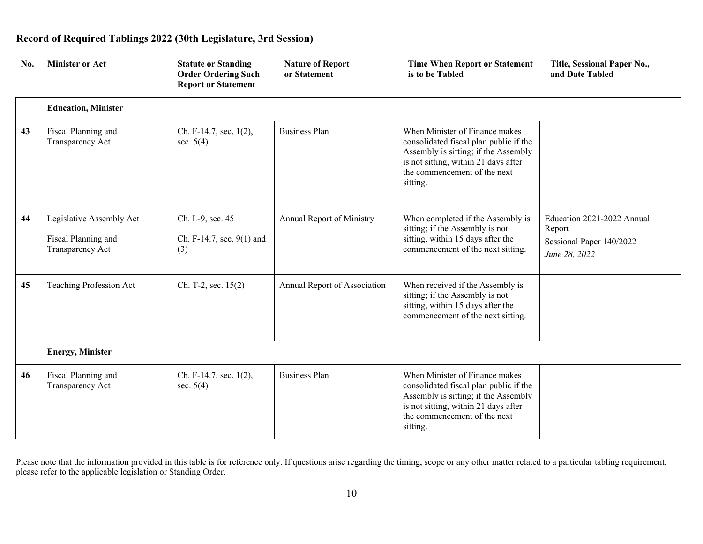| No. | <b>Minister or Act</b>                                              | <b>Statute or Standing</b><br><b>Order Ordering Such</b><br><b>Report or Statement</b> | <b>Nature of Report</b><br>or Statement | <b>Time When Report or Statement</b><br>is to be Tabled                                                                                                                                              | Title, Sessional Paper No.,<br>and Date Tabled                                    |
|-----|---------------------------------------------------------------------|----------------------------------------------------------------------------------------|-----------------------------------------|------------------------------------------------------------------------------------------------------------------------------------------------------------------------------------------------------|-----------------------------------------------------------------------------------|
|     | <b>Education, Minister</b>                                          |                                                                                        |                                         |                                                                                                                                                                                                      |                                                                                   |
| 43  | Fiscal Planning and<br>Transparency Act                             | Ch. F-14.7, sec. 1(2),<br>sec. $5(4)$                                                  | <b>Business Plan</b>                    | When Minister of Finance makes<br>consolidated fiscal plan public if the<br>Assembly is sitting; if the Assembly<br>is not sitting, within 21 days after<br>the commencement of the next<br>sitting. |                                                                                   |
| 44  | Legislative Assembly Act<br>Fiscal Planning and<br>Transparency Act | Ch. L-9, sec. 45<br>Ch. F-14.7, sec. 9(1) and<br>(3)                                   | <b>Annual Report of Ministry</b>        | When completed if the Assembly is<br>sitting; if the Assembly is not<br>sitting, within 15 days after the<br>commencement of the next sitting.                                                       | Education 2021-2022 Annual<br>Report<br>Sessional Paper 140/2022<br>June 28, 2022 |
| 45  | Teaching Profession Act                                             | Ch. T-2, sec. 15(2)                                                                    | Annual Report of Association            | When received if the Assembly is<br>sitting; if the Assembly is not<br>sitting, within 15 days after the<br>commencement of the next sitting.                                                        |                                                                                   |
|     | <b>Energy, Minister</b>                                             |                                                                                        |                                         |                                                                                                                                                                                                      |                                                                                   |
| 46  | Fiscal Planning and<br>Transparency Act                             | Ch. F-14.7, sec. 1(2),<br>sec. $5(4)$                                                  | <b>Business Plan</b>                    | When Minister of Finance makes<br>consolidated fiscal plan public if the<br>Assembly is sitting; if the Assembly<br>is not sitting, within 21 days after<br>the commencement of the next<br>sitting. |                                                                                   |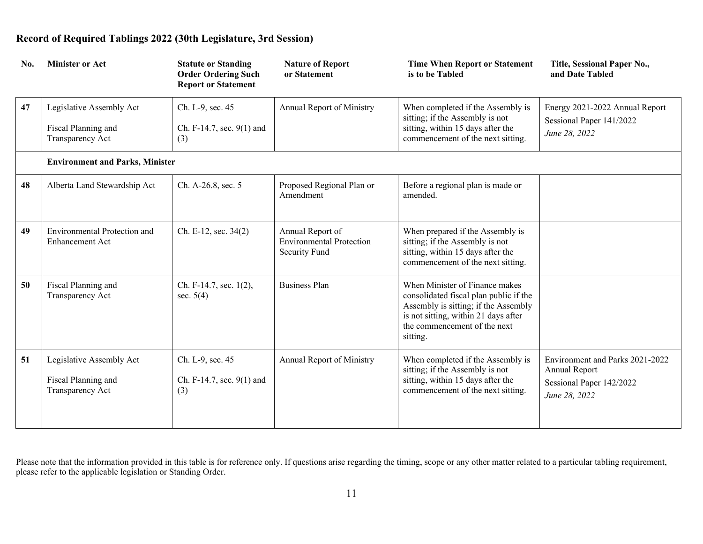| No. | <b>Minister or Act</b>                                              | <b>Statute or Standing</b><br><b>Order Ordering Such</b><br><b>Report or Statement</b> | <b>Nature of Report</b><br>or Statement                              | <b>Time When Report or Statement</b><br>is to be Tabled                                                                                                                                              | Title, Sessional Paper No.,<br>and Date Tabled                                                |
|-----|---------------------------------------------------------------------|----------------------------------------------------------------------------------------|----------------------------------------------------------------------|------------------------------------------------------------------------------------------------------------------------------------------------------------------------------------------------------|-----------------------------------------------------------------------------------------------|
| 47  | Legislative Assembly Act<br>Fiscal Planning and<br>Transparency Act | Ch. L-9, sec. 45<br>Ch. F-14.7, sec. 9(1) and<br>(3)                                   | <b>Annual Report of Ministry</b>                                     | When completed if the Assembly is<br>sitting; if the Assembly is not<br>sitting, within 15 days after the<br>commencement of the next sitting.                                                       | Energy 2021-2022 Annual Report<br>Sessional Paper 141/2022<br>June 28, 2022                   |
|     | <b>Environment and Parks, Minister</b>                              |                                                                                        |                                                                      |                                                                                                                                                                                                      |                                                                                               |
| 48  | Alberta Land Stewardship Act                                        | Ch. A-26.8, sec. 5                                                                     | Proposed Regional Plan or<br>Amendment                               | Before a regional plan is made or<br>amended.                                                                                                                                                        |                                                                                               |
| 49  | <b>Environmental Protection and</b><br><b>Enhancement Act</b>       | Ch. E-12, sec. 34(2)                                                                   | Annual Report of<br><b>Environmental Protection</b><br>Security Fund | When prepared if the Assembly is<br>sitting; if the Assembly is not<br>sitting, within 15 days after the<br>commencement of the next sitting.                                                        |                                                                                               |
| 50  | Fiscal Planning and<br>Transparency Act                             | Ch. F-14.7, sec. 1(2),<br>sec. $5(4)$                                                  | <b>Business Plan</b>                                                 | When Minister of Finance makes<br>consolidated fiscal plan public if the<br>Assembly is sitting; if the Assembly<br>is not sitting, within 21 days after<br>the commencement of the next<br>sitting. |                                                                                               |
| 51  | Legislative Assembly Act<br>Fiscal Planning and<br>Transparency Act | Ch. L-9, sec. 45<br>Ch. F-14.7, sec. 9(1) and<br>(3)                                   | Annual Report of Ministry                                            | When completed if the Assembly is<br>sitting; if the Assembly is not<br>sitting, within 15 days after the<br>commencement of the next sitting.                                                       | Environment and Parks 2021-2022<br>Annual Report<br>Sessional Paper 142/2022<br>June 28, 2022 |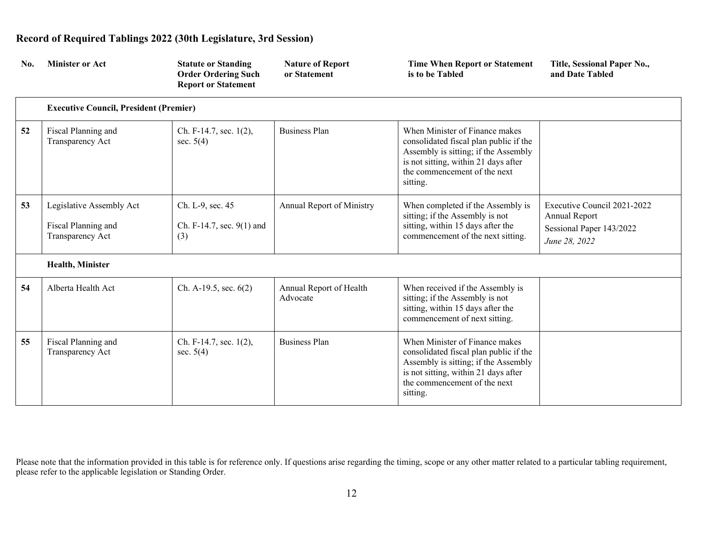| No. | <b>Minister or Act</b>                                              | <b>Statute or Standing</b><br><b>Order Ordering Such</b><br><b>Report or Statement</b> | <b>Nature of Report</b><br>or Statement | <b>Time When Report or Statement</b><br>is to be Tabled                                                                                                                                              | Title, Sessional Paper No.,<br>and Date Tabled                                            |
|-----|---------------------------------------------------------------------|----------------------------------------------------------------------------------------|-----------------------------------------|------------------------------------------------------------------------------------------------------------------------------------------------------------------------------------------------------|-------------------------------------------------------------------------------------------|
|     | <b>Executive Council, President (Premier)</b>                       |                                                                                        |                                         |                                                                                                                                                                                                      |                                                                                           |
| 52  | Fiscal Planning and<br>Transparency Act                             | Ch. F-14.7, sec. 1(2),<br>sec. $5(4)$                                                  | <b>Business Plan</b>                    | When Minister of Finance makes<br>consolidated fiscal plan public if the<br>Assembly is sitting; if the Assembly<br>is not sitting, within 21 days after<br>the commencement of the next<br>sitting. |                                                                                           |
| 53  | Legislative Assembly Act<br>Fiscal Planning and<br>Transparency Act | Ch. L-9, sec. 45<br>Ch. F-14.7, sec. $9(1)$ and<br>(3)                                 | <b>Annual Report of Ministry</b>        | When completed if the Assembly is<br>sitting; if the Assembly is not<br>sitting, within 15 days after the<br>commencement of the next sitting.                                                       | Executive Council 2021-2022<br>Annual Report<br>Sessional Paper 143/2022<br>June 28, 2022 |
|     | <b>Health, Minister</b>                                             |                                                                                        |                                         |                                                                                                                                                                                                      |                                                                                           |
| 54  | Alberta Health Act                                                  | Ch. A-19.5, sec. $6(2)$                                                                | Annual Report of Health<br>Advocate     | When received if the Assembly is<br>sitting; if the Assembly is not<br>sitting, within 15 days after the<br>commencement of next sitting.                                                            |                                                                                           |
| 55  | Fiscal Planning and<br>Transparency Act                             | Ch. F-14.7, sec. 1(2),<br>sec. $5(4)$                                                  | <b>Business Plan</b>                    | When Minister of Finance makes<br>consolidated fiscal plan public if the<br>Assembly is sitting; if the Assembly<br>is not sitting, within 21 days after<br>the commencement of the next<br>sitting. |                                                                                           |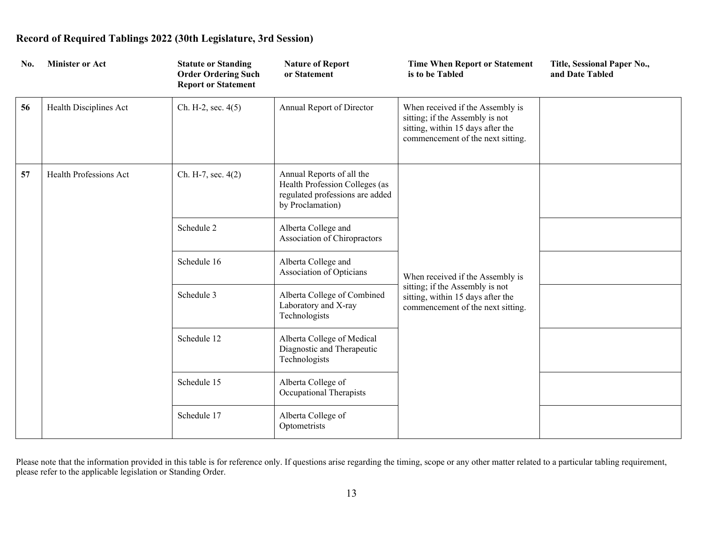| No. | <b>Minister or Act</b> | <b>Statute or Standing</b><br><b>Order Ordering Such</b><br><b>Report or Statement</b> | <b>Nature of Report</b><br>or Statement                                                                            | <b>Time When Report or Statement</b><br>is to be Tabled                                                                                       | Title, Sessional Paper No.,<br>and Date Tabled |
|-----|------------------------|----------------------------------------------------------------------------------------|--------------------------------------------------------------------------------------------------------------------|-----------------------------------------------------------------------------------------------------------------------------------------------|------------------------------------------------|
| 56  | Health Disciplines Act | Ch. H-2, sec. $4(5)$                                                                   | Annual Report of Director                                                                                          | When received if the Assembly is<br>sitting; if the Assembly is not<br>sitting, within 15 days after the<br>commencement of the next sitting. |                                                |
| 57  | Health Professions Act | Ch. H-7, sec. 4(2)                                                                     | Annual Reports of all the<br>Health Profession Colleges (as<br>regulated professions are added<br>by Proclamation) |                                                                                                                                               |                                                |
|     |                        | Schedule 2                                                                             | Alberta College and<br>Association of Chiropractors                                                                | When received if the Assembly is<br>sitting; if the Assembly is not<br>sitting, within 15 days after the<br>commencement of the next sitting. |                                                |
|     |                        | Schedule 16                                                                            | Alberta College and<br>Association of Opticians                                                                    |                                                                                                                                               |                                                |
|     |                        | Schedule 3                                                                             | Alberta College of Combined<br>Laboratory and X-ray<br>Technologists                                               |                                                                                                                                               |                                                |
|     |                        | Schedule 12                                                                            | Alberta College of Medical<br>Diagnostic and Therapeutic<br>Technologists                                          |                                                                                                                                               |                                                |
|     |                        | Schedule 15                                                                            | Alberta College of<br>Occupational Therapists                                                                      |                                                                                                                                               |                                                |
|     |                        | Schedule 17                                                                            | Alberta College of<br>Optometrists                                                                                 |                                                                                                                                               |                                                |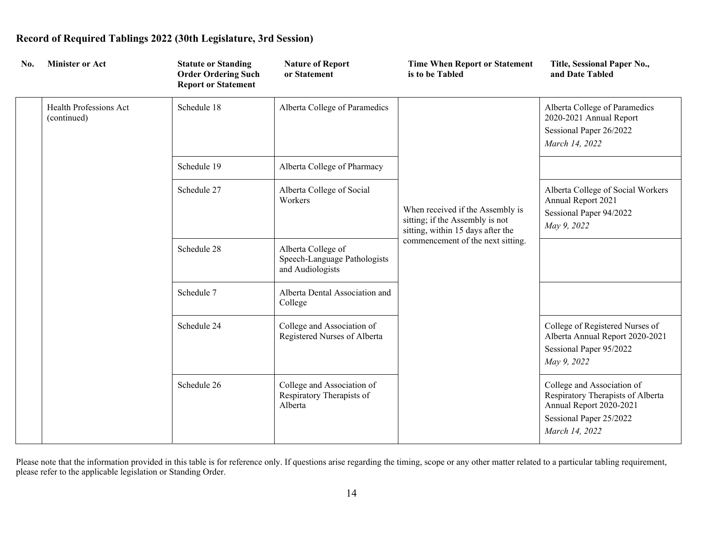| No. | <b>Minister or Act</b>                | <b>Statute or Standing</b><br><b>Order Ordering Such</b><br><b>Report or Statement</b> | <b>Nature of Report</b><br>or Statement                                                                                                          | <b>Time When Report or Statement</b><br>is to be Tabled                                           | Title, Sessional Paper No.,<br>and Date Tabled                                                                                          |
|-----|---------------------------------------|----------------------------------------------------------------------------------------|--------------------------------------------------------------------------------------------------------------------------------------------------|---------------------------------------------------------------------------------------------------|-----------------------------------------------------------------------------------------------------------------------------------------|
|     | Health Professions Act<br>(continued) | Schedule 18                                                                            | Alberta College of Paramedics                                                                                                                    |                                                                                                   | Alberta College of Paramedics<br>2020-2021 Annual Report<br>Sessional Paper 26/2022<br>March 14, 2022                                   |
|     |                                       | Schedule 19                                                                            | Alberta College of Pharmacy                                                                                                                      |                                                                                                   |                                                                                                                                         |
|     |                                       | Schedule 27                                                                            | Alberta College of Social<br>Workers<br>When received if the Assembly is<br>sitting; if the Assembly is not<br>sitting, within 15 days after the | Alberta College of Social Workers<br>Annual Report 2021<br>Sessional Paper 94/2022<br>May 9, 2022 |                                                                                                                                         |
|     |                                       | Schedule 28                                                                            | Alberta College of<br>Speech-Language Pathologists<br>and Audiologists                                                                           | commencement of the next sitting.                                                                 |                                                                                                                                         |
|     |                                       | Schedule 7                                                                             | Alberta Dental Association and<br>College                                                                                                        |                                                                                                   |                                                                                                                                         |
|     |                                       | Schedule 24                                                                            | College and Association of<br>Registered Nurses of Alberta                                                                                       |                                                                                                   | College of Registered Nurses of<br>Alberta Annual Report 2020-2021<br>Sessional Paper 95/2022<br>May 9, 2022                            |
|     |                                       | Schedule 26                                                                            | College and Association of<br>Respiratory Therapists of<br>Alberta                                                                               |                                                                                                   | College and Association of<br>Respiratory Therapists of Alberta<br>Annual Report 2020-2021<br>Sessional Paper 25/2022<br>March 14, 2022 |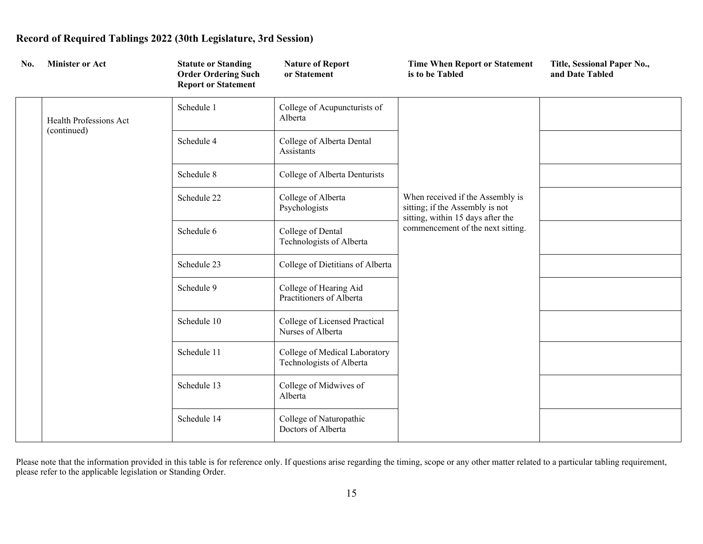| No. | <b>Minister or Act</b>                | <b>Statute or Standing</b><br><b>Order Ordering Such</b><br><b>Report or Statement</b> | <b>Nature of Report</b><br>or Statement                   | <b>Time When Report or Statement</b><br>is to be Tabled                                                                                       | Title, Sessional Paper No.,<br>and Date Tabled |
|-----|---------------------------------------|----------------------------------------------------------------------------------------|-----------------------------------------------------------|-----------------------------------------------------------------------------------------------------------------------------------------------|------------------------------------------------|
|     | Health Professions Act<br>(continued) | Schedule 1                                                                             | College of Acupuncturists of<br>Alberta                   |                                                                                                                                               |                                                |
|     |                                       | Schedule 4                                                                             | College of Alberta Dental<br>Assistants                   |                                                                                                                                               |                                                |
|     |                                       | Schedule 8                                                                             | College of Alberta Denturists                             |                                                                                                                                               |                                                |
|     |                                       | Schedule 22                                                                            | College of Alberta<br>Psychologists                       | When received if the Assembly is<br>sitting; if the Assembly is not<br>sitting, within 15 days after the<br>commencement of the next sitting. |                                                |
|     |                                       | Schedule 6                                                                             | College of Dental<br>Technologists of Alberta             |                                                                                                                                               |                                                |
|     |                                       | Schedule 23                                                                            | College of Dietitians of Alberta                          |                                                                                                                                               |                                                |
|     |                                       | Schedule 9                                                                             | College of Hearing Aid<br>Practitioners of Alberta        |                                                                                                                                               |                                                |
|     |                                       | Schedule 10                                                                            | College of Licensed Practical<br>Nurses of Alberta        |                                                                                                                                               |                                                |
|     |                                       | Schedule 11                                                                            | College of Medical Laboratory<br>Technologists of Alberta |                                                                                                                                               |                                                |
|     |                                       | Schedule 13                                                                            | College of Midwives of<br>Alberta                         |                                                                                                                                               |                                                |
|     |                                       | Schedule 14                                                                            | College of Naturopathic<br>Doctors of Alberta             |                                                                                                                                               |                                                |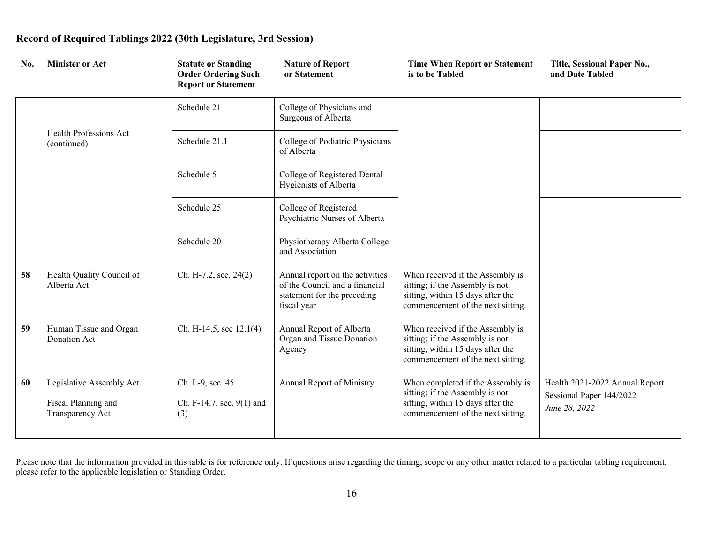| No. | <b>Minister or Act</b>                                              | <b>Statute or Standing</b><br><b>Order Ordering Such</b><br><b>Report or Statement</b> | <b>Nature of Report</b><br>or Statement                                                                         | <b>Time When Report or Statement</b><br>is to be Tabled                                                                                        | Title, Sessional Paper No.,<br>and Date Tabled                              |
|-----|---------------------------------------------------------------------|----------------------------------------------------------------------------------------|-----------------------------------------------------------------------------------------------------------------|------------------------------------------------------------------------------------------------------------------------------------------------|-----------------------------------------------------------------------------|
|     |                                                                     | Schedule 21                                                                            | College of Physicians and<br>Surgeons of Alberta                                                                |                                                                                                                                                |                                                                             |
|     | Health Professions Act<br>(continued)                               | Schedule 21.1                                                                          | College of Podiatric Physicians<br>of Alberta                                                                   |                                                                                                                                                |                                                                             |
|     |                                                                     | Schedule 5                                                                             | College of Registered Dental<br>Hygienists of Alberta                                                           |                                                                                                                                                |                                                                             |
|     |                                                                     | Schedule 25                                                                            | College of Registered<br>Psychiatric Nurses of Alberta                                                          |                                                                                                                                                |                                                                             |
|     |                                                                     | Schedule 20                                                                            | Physiotherapy Alberta College<br>and Association                                                                |                                                                                                                                                |                                                                             |
| 58  | Health Quality Council of<br>Alberta Act                            | Ch. H-7.2, sec. 24(2)                                                                  | Annual report on the activities<br>of the Council and a financial<br>statement for the preceding<br>fiscal year | When received if the Assembly is<br>sitting; if the Assembly is not<br>sitting, within 15 days after the<br>commencement of the next sitting.  |                                                                             |
| 59  | Human Tissue and Organ<br>Donation Act                              | Ch. H-14.5, sec 12.1(4)                                                                | Annual Report of Alberta<br>Organ and Tissue Donation<br>Agency                                                 | When received if the Assembly is<br>sitting; if the Assembly is not<br>sitting, within 15 days after the<br>commencement of the next sitting.  |                                                                             |
| 60  | Legislative Assembly Act<br>Fiscal Planning and<br>Transparency Act | Ch. L-9, sec. 45<br>Ch. F-14.7, sec. 9(1) and<br>(3)                                   | Annual Report of Ministry                                                                                       | When completed if the Assembly is<br>sitting; if the Assembly is not<br>sitting, within 15 days after the<br>commencement of the next sitting. | Health 2021-2022 Annual Report<br>Sessional Paper 144/2022<br>June 28, 2022 |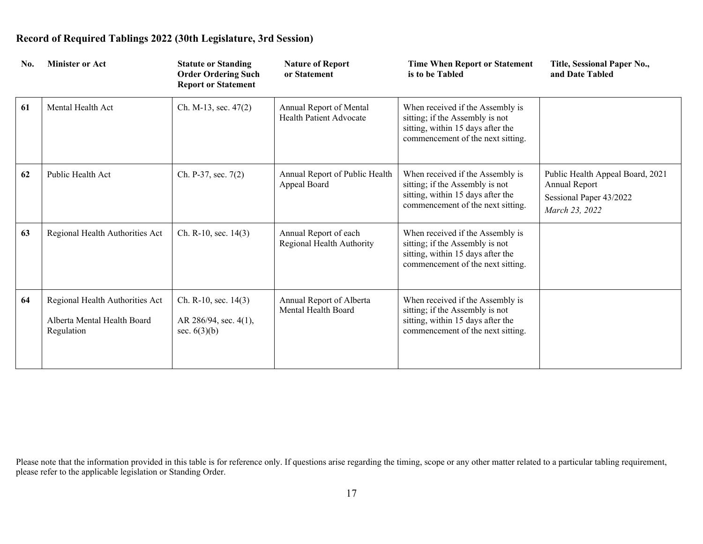| No. | <b>Minister or Act</b>                                                       | <b>Statute or Standing</b><br><b>Order Ordering Such</b><br><b>Report or Statement</b> | <b>Nature of Report</b><br>or Statement            | <b>Time When Report or Statement</b><br>is to be Tabled                                                                                       | Title, Sessional Paper No.,<br>and Date Tabled                                                 |
|-----|------------------------------------------------------------------------------|----------------------------------------------------------------------------------------|----------------------------------------------------|-----------------------------------------------------------------------------------------------------------------------------------------------|------------------------------------------------------------------------------------------------|
| 61  | Mental Health Act                                                            | Ch. M-13, sec. $47(2)$                                                                 | Annual Report of Mental<br>Health Patient Advocate | When received if the Assembly is<br>sitting; if the Assembly is not<br>sitting, within 15 days after the<br>commencement of the next sitting. |                                                                                                |
| 62  | Public Health Act                                                            | Ch. P-37, sec. 7(2)                                                                    | Annual Report of Public Health<br>Appeal Board     | When received if the Assembly is<br>sitting; if the Assembly is not<br>sitting, within 15 days after the<br>commencement of the next sitting. | Public Health Appeal Board, 2021<br>Annual Report<br>Sessional Paper 43/2022<br>March 23, 2022 |
| 63  | Regional Health Authorities Act                                              | Ch. R-10, sec. 14(3)                                                                   | Annual Report of each<br>Regional Health Authority | When received if the Assembly is<br>sitting; if the Assembly is not<br>sitting, within 15 days after the<br>commencement of the next sitting. |                                                                                                |
| 64  | Regional Health Authorities Act<br>Alberta Mental Health Board<br>Regulation | Ch. R-10, sec. 14(3)<br>AR 286/94, sec. 4(1),<br>sec. $6(3)(b)$                        | Annual Report of Alberta<br>Mental Health Board    | When received if the Assembly is<br>sitting; if the Assembly is not<br>sitting, within 15 days after the<br>commencement of the next sitting. |                                                                                                |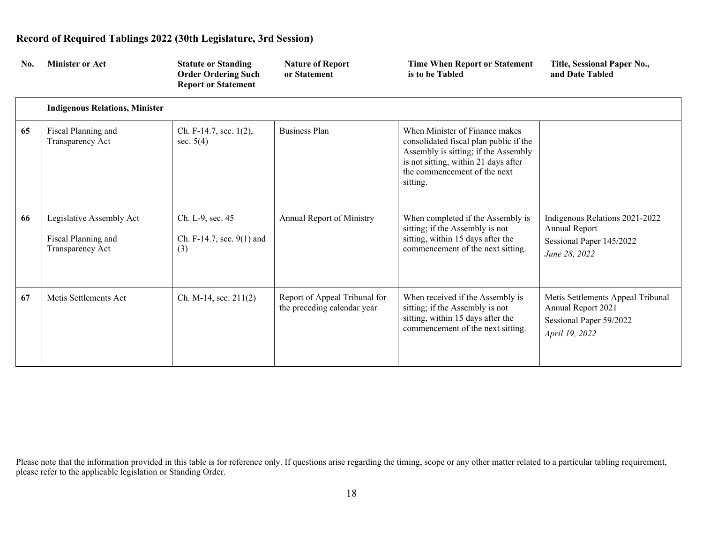| No. | <b>Minister or Act</b>                                              | <b>Statute or Standing</b><br><b>Order Ordering Such</b><br><b>Report or Statement</b> | <b>Nature of Report</b><br>or Statement                      | <b>Time When Report or Statement</b><br>is to be Tabled                                                                                                                                              | Title, Sessional Paper No.,<br>and Date Tabled                                                       |
|-----|---------------------------------------------------------------------|----------------------------------------------------------------------------------------|--------------------------------------------------------------|------------------------------------------------------------------------------------------------------------------------------------------------------------------------------------------------------|------------------------------------------------------------------------------------------------------|
|     | <b>Indigenous Relations, Minister</b>                               |                                                                                        |                                                              |                                                                                                                                                                                                      |                                                                                                      |
| 65  | Fiscal Planning and<br>Transparency Act                             | Ch. F-14.7, sec. $1(2)$ ,<br>sec. $5(4)$                                               | <b>Business Plan</b>                                         | When Minister of Finance makes<br>consolidated fiscal plan public if the<br>Assembly is sitting; if the Assembly<br>is not sitting, within 21 days after<br>the commencement of the next<br>sitting. |                                                                                                      |
| 66  | Legislative Assembly Act<br>Fiscal Planning and<br>Transparency Act | Ch. L-9, sec. 45<br>Ch. F-14.7, sec. 9(1) and<br>(3)                                   | Annual Report of Ministry                                    | When completed if the Assembly is<br>sitting; if the Assembly is not<br>sitting, within 15 days after the<br>commencement of the next sitting.                                                       | Indigenous Relations 2021-2022<br>Annual Report<br>Sessional Paper 145/2022<br>June 28, 2022         |
| 67  | Metis Settlements Act                                               | Ch. M-14, sec. $211(2)$                                                                | Report of Appeal Tribunal for<br>the preceding calendar year | When received if the Assembly is<br>sitting; if the Assembly is not<br>sitting, within 15 days after the<br>commencement of the next sitting.                                                        | Metis Settlements Appeal Tribunal<br>Annual Report 2021<br>Sessional Paper 59/2022<br>April 19, 2022 |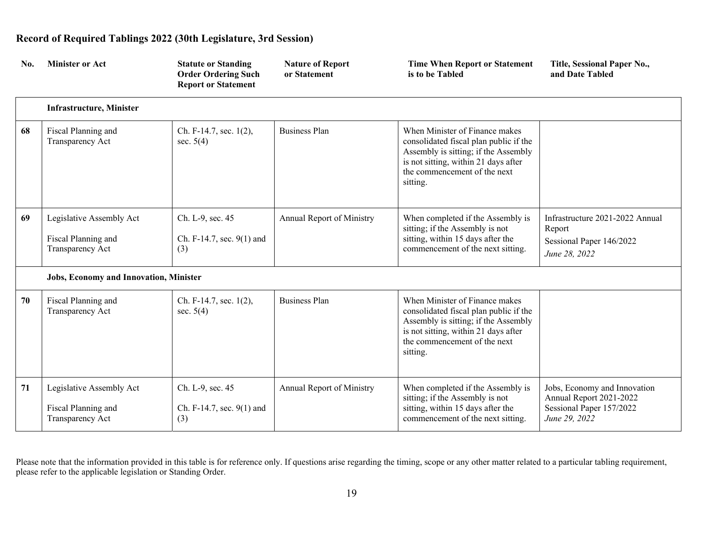| No. | <b>Minister or Act</b>                                              | <b>Statute or Standing</b><br><b>Order Ordering Such</b><br><b>Report or Statement</b> | <b>Nature of Report</b><br>or Statement | <b>Time When Report or Statement</b><br>is to be Tabled                                                                                                                                              | Title, Sessional Paper No.,<br>and Date Tabled                                                       |
|-----|---------------------------------------------------------------------|----------------------------------------------------------------------------------------|-----------------------------------------|------------------------------------------------------------------------------------------------------------------------------------------------------------------------------------------------------|------------------------------------------------------------------------------------------------------|
|     | <b>Infrastructure, Minister</b>                                     |                                                                                        |                                         |                                                                                                                                                                                                      |                                                                                                      |
| 68  | Fiscal Planning and<br>Transparency Act                             | Ch. F-14.7, sec. 1(2),<br>sec. $5(4)$                                                  | <b>Business Plan</b>                    | When Minister of Finance makes<br>consolidated fiscal plan public if the<br>Assembly is sitting; if the Assembly<br>is not sitting, within 21 days after<br>the commencement of the next<br>sitting. |                                                                                                      |
| 69  | Legislative Assembly Act<br>Fiscal Planning and<br>Transparency Act | Ch. L-9, sec. 45<br>Ch. F-14.7, sec. 9(1) and<br>(3)                                   | Annual Report of Ministry               | When completed if the Assembly is<br>sitting; if the Assembly is not<br>sitting, within 15 days after the<br>commencement of the next sitting.                                                       | Infrastructure 2021-2022 Annual<br>Report<br>Sessional Paper 146/2022<br>June 28, 2022               |
|     | Jobs, Economy and Innovation, Minister                              |                                                                                        |                                         |                                                                                                                                                                                                      |                                                                                                      |
| 70  | Fiscal Planning and<br>Transparency Act                             | Ch. F-14.7, sec. 1(2),<br>sec. $5(4)$                                                  | <b>Business Plan</b>                    | When Minister of Finance makes<br>consolidated fiscal plan public if the<br>Assembly is sitting; if the Assembly<br>is not sitting, within 21 days after<br>the commencement of the next<br>sitting. |                                                                                                      |
| 71  | Legislative Assembly Act<br>Fiscal Planning and<br>Transparency Act | Ch. L-9, sec. 45<br>Ch. F-14.7, sec. 9(1) and<br>(3)                                   | <b>Annual Report of Ministry</b>        | When completed if the Assembly is<br>sitting; if the Assembly is not<br>sitting, within 15 days after the<br>commencement of the next sitting.                                                       | Jobs, Economy and Innovation<br>Annual Report 2021-2022<br>Sessional Paper 157/2022<br>June 29, 2022 |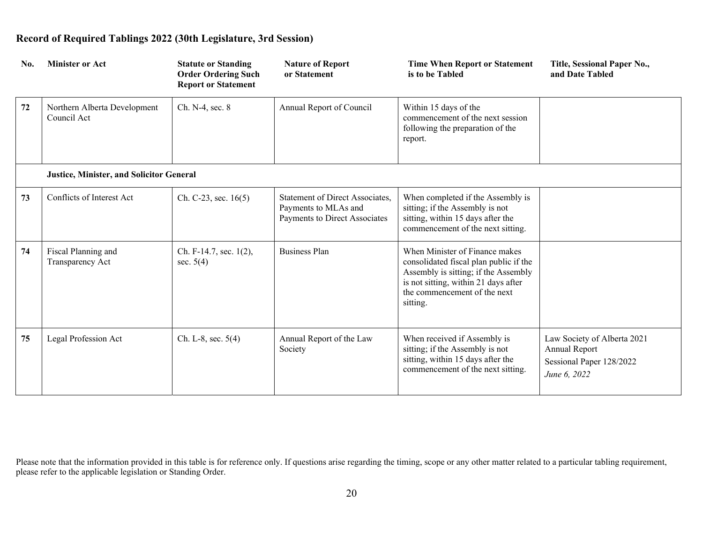| No. | <b>Minister or Act</b>                          | <b>Statute or Standing</b><br><b>Order Ordering Such</b><br><b>Report or Statement</b> | <b>Nature of Report</b><br>or Statement                                                  | <b>Time When Report or Statement</b><br>is to be Tabled                                                                                                                                              | Title, Sessional Paper No.,<br>and Date Tabled                                           |
|-----|-------------------------------------------------|----------------------------------------------------------------------------------------|------------------------------------------------------------------------------------------|------------------------------------------------------------------------------------------------------------------------------------------------------------------------------------------------------|------------------------------------------------------------------------------------------|
| 72  | Northern Alberta Development<br>Council Act     | Ch. N-4, sec. 8                                                                        | Annual Report of Council                                                                 | Within 15 days of the<br>commencement of the next session<br>following the preparation of the<br>report.                                                                                             |                                                                                          |
|     | <b>Justice, Minister, and Solicitor General</b> |                                                                                        |                                                                                          |                                                                                                                                                                                                      |                                                                                          |
| 73  | Conflicts of Interest Act                       | Ch. C-23, sec. $16(5)$                                                                 | Statement of Direct Associates,<br>Payments to MLAs and<br>Payments to Direct Associates | When completed if the Assembly is<br>sitting; if the Assembly is not<br>sitting, within 15 days after the<br>commencement of the next sitting.                                                       |                                                                                          |
| 74  | Fiscal Planning and<br>Transparency Act         | Ch. F-14.7, sec. 1(2),<br>sec. $5(4)$                                                  | <b>Business Plan</b>                                                                     | When Minister of Finance makes<br>consolidated fiscal plan public if the<br>Assembly is sitting; if the Assembly<br>is not sitting, within 21 days after<br>the commencement of the next<br>sitting. |                                                                                          |
| 75  | Legal Profession Act                            | Ch. L-8, sec. $5(4)$                                                                   | Annual Report of the Law<br>Society                                                      | When received if Assembly is<br>sitting; if the Assembly is not<br>sitting, within 15 days after the<br>commencement of the next sitting.                                                            | Law Society of Alberta 2021<br>Annual Report<br>Sessional Paper 128/2022<br>June 6, 2022 |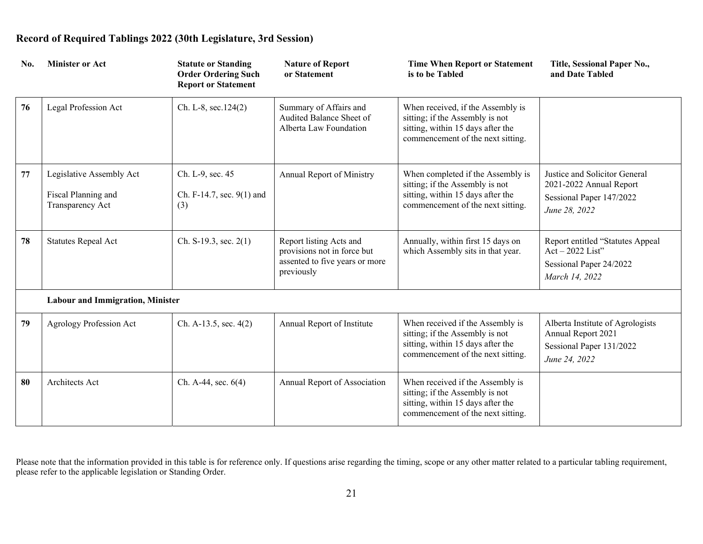| No. | <b>Minister or Act</b>                                              | <b>Statute or Standing</b><br><b>Order Ordering Such</b><br><b>Report or Statement</b> | <b>Nature of Report</b><br>or Statement                                                                | <b>Time When Report or Statement</b><br>is to be Tabled                                                                                        | Title, Sessional Paper No.,<br>and Date Tabled                                                        |
|-----|---------------------------------------------------------------------|----------------------------------------------------------------------------------------|--------------------------------------------------------------------------------------------------------|------------------------------------------------------------------------------------------------------------------------------------------------|-------------------------------------------------------------------------------------------------------|
| 76  | Legal Profession Act                                                | Ch. L-8, sec.124(2)                                                                    | Summary of Affairs and<br>Audited Balance Sheet of<br>Alberta Law Foundation                           | When received, if the Assembly is<br>sitting; if the Assembly is not<br>sitting, within 15 days after the<br>commencement of the next sitting. |                                                                                                       |
| 77  | Legislative Assembly Act<br>Fiscal Planning and<br>Transparency Act | Ch. L-9, sec. 45<br>Ch. F-14.7, sec. 9(1) and<br>(3)                                   | Annual Report of Ministry                                                                              | When completed if the Assembly is<br>sitting; if the Assembly is not<br>sitting, within 15 days after the<br>commencement of the next sitting. | Justice and Solicitor General<br>2021-2022 Annual Report<br>Sessional Paper 147/2022<br>June 28, 2022 |
| 78  | <b>Statutes Repeal Act</b>                                          | Ch. S-19.3, sec. $2(1)$                                                                | Report listing Acts and<br>provisions not in force but<br>assented to five years or more<br>previously | Annually, within first 15 days on<br>which Assembly sits in that year.                                                                         | Report entitled "Statutes Appeal<br>$Act - 2022 List"$<br>Sessional Paper 24/2022<br>March 14, 2022   |
|     | <b>Labour and Immigration, Minister</b>                             |                                                                                        |                                                                                                        |                                                                                                                                                |                                                                                                       |
| 79  | Agrology Profession Act                                             | Ch. A-13.5, sec. $4(2)$                                                                | Annual Report of Institute                                                                             | When received if the Assembly is<br>sitting; if the Assembly is not<br>sitting, within 15 days after the<br>commencement of the next sitting.  | Alberta Institute of Agrologists<br>Annual Report 2021<br>Sessional Paper 131/2022<br>June 24, 2022   |
| 80  | Architects Act                                                      | Ch. A-44, sec. 6(4)                                                                    | Annual Report of Association                                                                           | When received if the Assembly is<br>sitting; if the Assembly is not<br>sitting, within 15 days after the<br>commencement of the next sitting.  |                                                                                                       |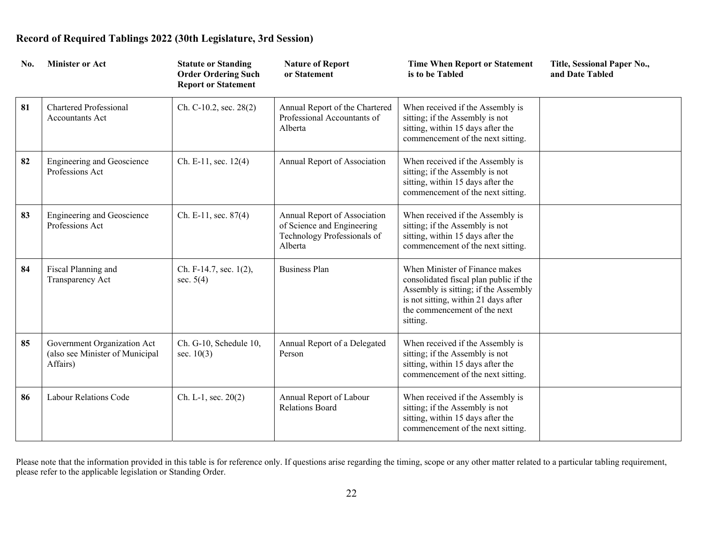| No. | <b>Minister or Act</b>                                                     | <b>Statute or Standing</b><br><b>Order Ordering Such</b><br><b>Report or Statement</b> | <b>Nature of Report</b><br>or Statement                                                              | <b>Time When Report or Statement</b><br>is to be Tabled                                                                                                                                              | Title, Sessional Paper No.,<br>and Date Tabled |
|-----|----------------------------------------------------------------------------|----------------------------------------------------------------------------------------|------------------------------------------------------------------------------------------------------|------------------------------------------------------------------------------------------------------------------------------------------------------------------------------------------------------|------------------------------------------------|
| 81  | <b>Chartered Professional</b><br><b>Accountants Act</b>                    | Ch. C-10.2, sec. 28(2)                                                                 | Annual Report of the Chartered<br>Professional Accountants of<br>Alberta                             | When received if the Assembly is<br>sitting; if the Assembly is not<br>sitting, within 15 days after the<br>commencement of the next sitting.                                                        |                                                |
| 82  | <b>Engineering and Geoscience</b><br>Professions Act                       | Ch. E-11, sec. 12(4)                                                                   | Annual Report of Association                                                                         | When received if the Assembly is<br>sitting; if the Assembly is not<br>sitting, within 15 days after the<br>commencement of the next sitting.                                                        |                                                |
| 83  | <b>Engineering and Geoscience</b><br>Professions Act                       | Ch. E-11, sec. 87(4)                                                                   | Annual Report of Association<br>of Science and Engineering<br>Technology Professionals of<br>Alberta | When received if the Assembly is<br>sitting; if the Assembly is not<br>sitting, within 15 days after the<br>commencement of the next sitting.                                                        |                                                |
| 84  | Fiscal Planning and<br>Transparency Act                                    | Ch. F-14.7, sec. 1(2),<br>sec. $5(4)$                                                  | <b>Business Plan</b>                                                                                 | When Minister of Finance makes<br>consolidated fiscal plan public if the<br>Assembly is sitting; if the Assembly<br>is not sitting, within 21 days after<br>the commencement of the next<br>sitting. |                                                |
| 85  | Government Organization Act<br>(also see Minister of Municipal<br>Affairs) | Ch. G-10, Schedule 10,<br>sec. $10(3)$                                                 | Annual Report of a Delegated<br>Person                                                               | When received if the Assembly is<br>sitting; if the Assembly is not<br>sitting, within 15 days after the<br>commencement of the next sitting.                                                        |                                                |
| 86  | Labour Relations Code                                                      | Ch. L-1, sec. $20(2)$                                                                  | Annual Report of Labour<br><b>Relations Board</b>                                                    | When received if the Assembly is<br>sitting; if the Assembly is not<br>sitting, within 15 days after the<br>commencement of the next sitting.                                                        |                                                |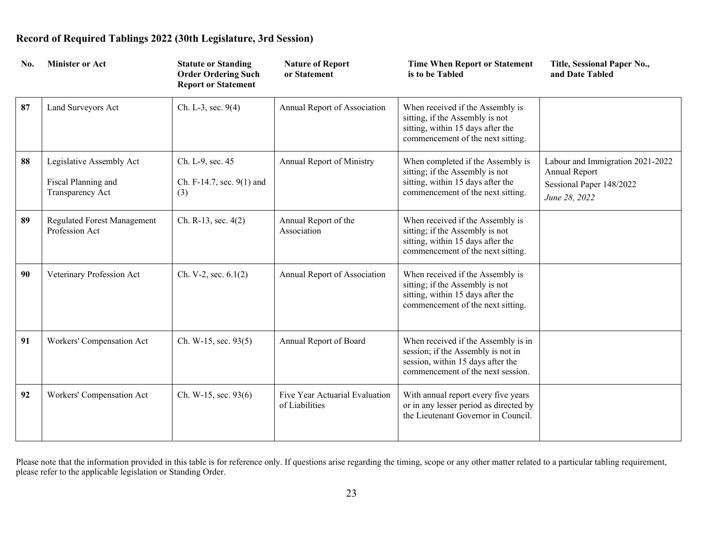| No. | <b>Minister or Act</b>                                              | <b>Statute or Standing</b><br><b>Order Ordering Such</b><br><b>Report or Statement</b> | <b>Nature of Report</b><br>or Statement          | <b>Time When Report or Statement</b><br>is to be Tabled                                                                                             | Title, Sessional Paper No.,<br>and Date Tabled                                                 |
|-----|---------------------------------------------------------------------|----------------------------------------------------------------------------------------|--------------------------------------------------|-----------------------------------------------------------------------------------------------------------------------------------------------------|------------------------------------------------------------------------------------------------|
| 87  | Land Surveyors Act                                                  | Ch. L-3, sec. 9(4)                                                                     | Annual Report of Association                     | When received if the Assembly is<br>sitting, if the Assembly is not<br>sitting, within 15 days after the<br>commencement of the next sitting.       |                                                                                                |
| 88  | Legislative Assembly Act<br>Fiscal Planning and<br>Transparency Act | Ch. L-9, sec. 45<br>Ch. F-14.7, sec. 9(1) and<br>(3)                                   | Annual Report of Ministry                        | When completed if the Assembly is<br>sitting; if the Assembly is not<br>sitting, within 15 days after the<br>commencement of the next sitting.      | Labour and Immigration 2021-2022<br>Annual Report<br>Sessional Paper 148/2022<br>June 28, 2022 |
| 89  | <b>Regulated Forest Management</b><br>Profession Act                | Ch. R-13, sec. 4(2)                                                                    | Annual Report of the<br>Association              | When received if the Assembly is<br>sitting; if the Assembly is not<br>sitting, within 15 days after the<br>commencement of the next sitting.       |                                                                                                |
| 90  | Veterinary Profession Act                                           | Ch. V-2, sec. $6.1(2)$                                                                 | Annual Report of Association                     | When received if the Assembly is<br>sitting; if the Assembly is not<br>sitting, within 15 days after the<br>commencement of the next sitting.       |                                                                                                |
| 91  | Workers' Compensation Act                                           | Ch. W-15, sec. $93(5)$                                                                 | Annual Report of Board                           | When received if the Assembly is in<br>session; if the Assembly is not in<br>session, within 15 days after the<br>commencement of the next session. |                                                                                                |
| 92  | Workers' Compensation Act                                           | Ch. W-15, sec. 93(6)                                                                   | Five Year Actuarial Evaluation<br>of Liabilities | With annual report every five years<br>or in any lesser period as directed by<br>the Lieutenant Governor in Council.                                |                                                                                                |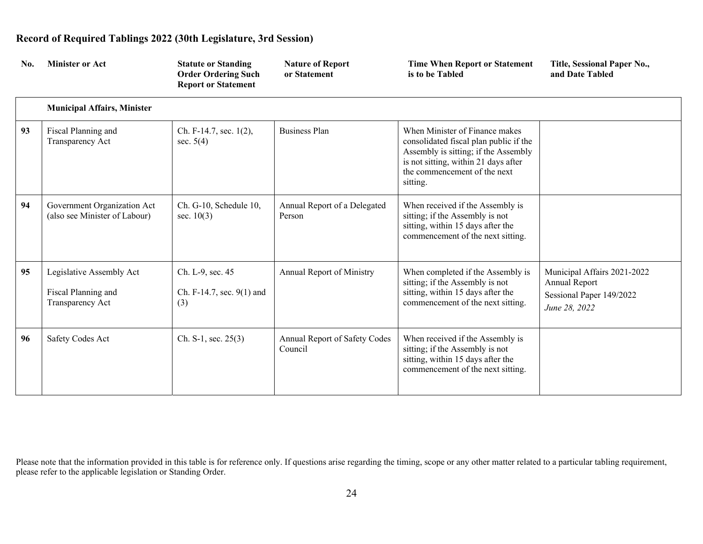| No. | <b>Minister or Act</b>                                              | <b>Statute or Standing</b><br><b>Order Ordering Such</b><br><b>Report or Statement</b> | <b>Nature of Report</b><br>or Statement  | <b>Time When Report or Statement</b><br>is to be Tabled                                                                                                                                              | Title, Sessional Paper No.,<br>and Date Tabled                                            |
|-----|---------------------------------------------------------------------|----------------------------------------------------------------------------------------|------------------------------------------|------------------------------------------------------------------------------------------------------------------------------------------------------------------------------------------------------|-------------------------------------------------------------------------------------------|
|     | <b>Municipal Affairs, Minister</b>                                  |                                                                                        |                                          |                                                                                                                                                                                                      |                                                                                           |
| 93  | Fiscal Planning and<br>Transparency Act                             | Ch. F-14.7, sec. 1(2),<br>sec. $5(4)$                                                  | <b>Business Plan</b>                     | When Minister of Finance makes<br>consolidated fiscal plan public if the<br>Assembly is sitting; if the Assembly<br>is not sitting, within 21 days after<br>the commencement of the next<br>sitting. |                                                                                           |
| 94  | Government Organization Act<br>(also see Minister of Labour)        | Ch. G-10, Schedule 10,<br>sec. $10(3)$                                                 | Annual Report of a Delegated<br>Person   | When received if the Assembly is<br>sitting; if the Assembly is not<br>sitting, within 15 days after the<br>commencement of the next sitting.                                                        |                                                                                           |
| 95  | Legislative Assembly Act<br>Fiscal Planning and<br>Transparency Act | Ch. L-9, sec. 45<br>Ch. F-14.7, sec. 9(1) and<br>(3)                                   | <b>Annual Report of Ministry</b>         | When completed if the Assembly is<br>sitting; if the Assembly is not<br>sitting, within 15 days after the<br>commencement of the next sitting.                                                       | Municipal Affairs 2021-2022<br>Annual Report<br>Sessional Paper 149/2022<br>June 28, 2022 |
| 96  | Safety Codes Act                                                    | Ch. S-1, sec. $25(3)$                                                                  | Annual Report of Safety Codes<br>Council | When received if the Assembly is<br>sitting; if the Assembly is not<br>sitting, within 15 days after the<br>commencement of the next sitting.                                                        |                                                                                           |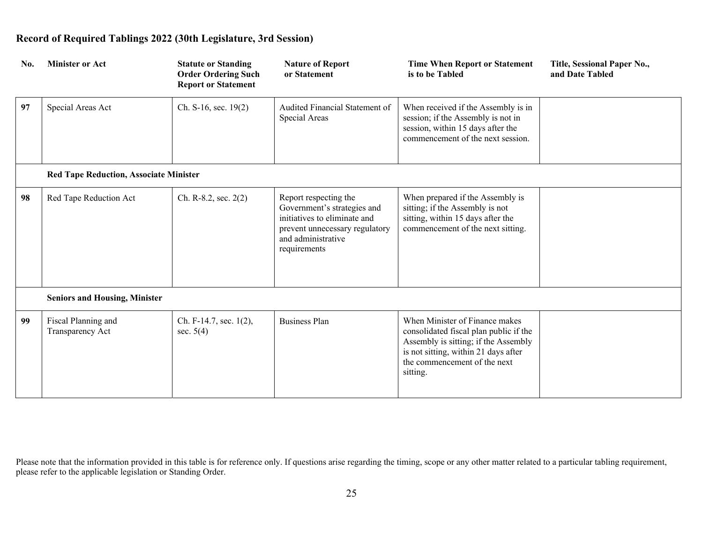| No. | <b>Minister or Act</b>                        | <b>Statute or Standing</b><br><b>Order Ordering Such</b><br><b>Report or Statement</b> | <b>Nature of Report</b><br>or Statement                                                                                                                      | <b>Time When Report or Statement</b><br>is to be Tabled                                                                                                                                              | Title, Sessional Paper No.,<br>and Date Tabled |
|-----|-----------------------------------------------|----------------------------------------------------------------------------------------|--------------------------------------------------------------------------------------------------------------------------------------------------------------|------------------------------------------------------------------------------------------------------------------------------------------------------------------------------------------------------|------------------------------------------------|
| 97  | Special Areas Act                             | Ch. S-16, sec. 19(2)                                                                   | Audited Financial Statement of<br>Special Areas                                                                                                              | When received if the Assembly is in<br>session; if the Assembly is not in<br>session, within 15 days after the<br>commencement of the next session.                                                  |                                                |
|     | <b>Red Tape Reduction, Associate Minister</b> |                                                                                        |                                                                                                                                                              |                                                                                                                                                                                                      |                                                |
| 98  | Red Tape Reduction Act                        | Ch. R-8.2, sec. $2(2)$                                                                 | Report respecting the<br>Government's strategies and<br>initiatives to eliminate and<br>prevent unnecessary regulatory<br>and administrative<br>requirements | When prepared if the Assembly is<br>sitting; if the Assembly is not<br>sitting, within 15 days after the<br>commencement of the next sitting.                                                        |                                                |
|     | <b>Seniors and Housing, Minister</b>          |                                                                                        |                                                                                                                                                              |                                                                                                                                                                                                      |                                                |
| 99  | Fiscal Planning and<br>Transparency Act       | Ch. F-14.7, sec. 1(2),<br>sec. $5(4)$                                                  | <b>Business Plan</b>                                                                                                                                         | When Minister of Finance makes<br>consolidated fiscal plan public if the<br>Assembly is sitting; if the Assembly<br>is not sitting, within 21 days after<br>the commencement of the next<br>sitting. |                                                |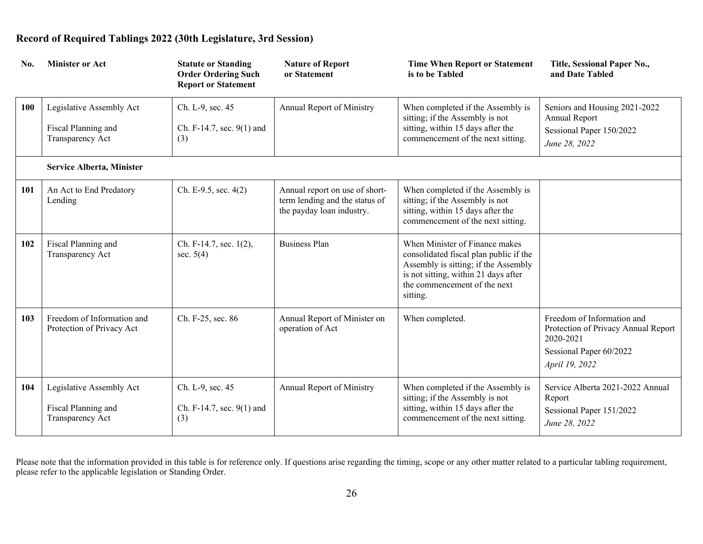| No.        | <b>Minister or Act</b>                                              | <b>Statute or Standing</b><br><b>Order Ordering Such</b><br><b>Report or Statement</b> | <b>Nature of Report</b><br>or Statement                                                       | <b>Time When Report or Statement</b><br>is to be Tabled                                                                                                                                              | Title, Sessional Paper No.,<br>and Date Tabled                                                                              |
|------------|---------------------------------------------------------------------|----------------------------------------------------------------------------------------|-----------------------------------------------------------------------------------------------|------------------------------------------------------------------------------------------------------------------------------------------------------------------------------------------------------|-----------------------------------------------------------------------------------------------------------------------------|
| <b>100</b> | Legislative Assembly Act<br>Fiscal Planning and<br>Transparency Act | Ch. L-9, sec. 45<br>Ch. F-14.7, sec. 9(1) and<br>(3)                                   | Annual Report of Ministry                                                                     | When completed if the Assembly is<br>sitting; if the Assembly is not<br>sitting, within 15 days after the<br>commencement of the next sitting.                                                       | Seniors and Housing 2021-2022<br>Annual Report<br>Sessional Paper 150/2022<br>June 28, 2022                                 |
|            | Service Alberta, Minister                                           |                                                                                        |                                                                                               |                                                                                                                                                                                                      |                                                                                                                             |
| 101        | An Act to End Predatory<br>Lending                                  | Ch. E-9.5, sec. 4(2)                                                                   | Annual report on use of short-<br>term lending and the status of<br>the payday loan industry. | When completed if the Assembly is<br>sitting; if the Assembly is not<br>sitting, within 15 days after the<br>commencement of the next sitting.                                                       |                                                                                                                             |
| 102        | Fiscal Planning and<br>Transparency Act                             | Ch. F-14.7, sec. 1(2),<br>sec. $5(4)$                                                  | <b>Business Plan</b>                                                                          | When Minister of Finance makes<br>consolidated fiscal plan public if the<br>Assembly is sitting; if the Assembly<br>is not sitting, within 21 days after<br>the commencement of the next<br>sitting. |                                                                                                                             |
| 103        | Freedom of Information and<br>Protection of Privacy Act             | Ch. F-25, sec. 86                                                                      | Annual Report of Minister on<br>operation of Act                                              | When completed.                                                                                                                                                                                      | Freedom of Information and<br>Protection of Privacy Annual Report<br>2020-2021<br>Sessional Paper 60/2022<br>April 19, 2022 |
| 104        | Legislative Assembly Act<br>Fiscal Planning and<br>Transparency Act | Ch. L-9, sec. 45<br>Ch. F-14.7, sec. 9(1) and<br>(3)                                   | <b>Annual Report of Ministry</b>                                                              | When completed if the Assembly is<br>sitting; if the Assembly is not<br>sitting, within 15 days after the<br>commencement of the next sitting.                                                       | Service Alberta 2021-2022 Annual<br>Report<br>Sessional Paper 151/2022<br>June 28, 2022                                     |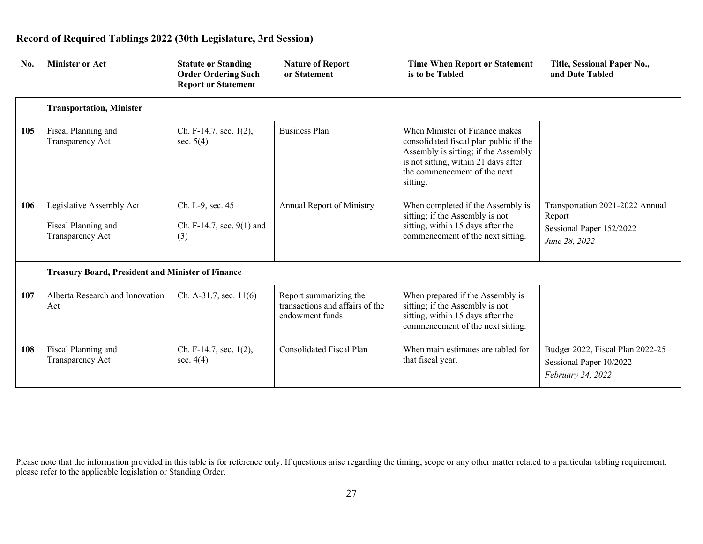| No. | <b>Minister or Act</b>                                              | <b>Statute or Standing</b><br><b>Order Ordering Such</b><br><b>Report or Statement</b> | <b>Nature of Report</b><br>or Statement                                      | <b>Time When Report or Statement</b><br>is to be Tabled                                                                                                                                              | Title, Sessional Paper No.,<br>and Date Tabled                                         |
|-----|---------------------------------------------------------------------|----------------------------------------------------------------------------------------|------------------------------------------------------------------------------|------------------------------------------------------------------------------------------------------------------------------------------------------------------------------------------------------|----------------------------------------------------------------------------------------|
|     | <b>Transportation, Minister</b>                                     |                                                                                        |                                                                              |                                                                                                                                                                                                      |                                                                                        |
| 105 | Fiscal Planning and<br>Transparency Act                             | Ch. F-14.7, sec. 1(2),<br>sec. $5(4)$                                                  | <b>Business Plan</b>                                                         | When Minister of Finance makes<br>consolidated fiscal plan public if the<br>Assembly is sitting; if the Assembly<br>is not sitting, within 21 days after<br>the commencement of the next<br>sitting. |                                                                                        |
| 106 | Legislative Assembly Act<br>Fiscal Planning and<br>Transparency Act | Ch. L-9, sec. 45<br>Ch. F-14.7, sec. $9(1)$ and<br>(3)                                 | Annual Report of Ministry                                                    | When completed if the Assembly is<br>sitting; if the Assembly is not<br>sitting, within 15 days after the<br>commencement of the next sitting.                                                       | Transportation 2021-2022 Annual<br>Report<br>Sessional Paper 152/2022<br>June 28, 2022 |
|     | <b>Treasury Board, President and Minister of Finance</b>            |                                                                                        |                                                                              |                                                                                                                                                                                                      |                                                                                        |
| 107 | Alberta Research and Innovation<br>Act                              | Ch. A-31.7, sec. $11(6)$                                                               | Report summarizing the<br>transactions and affairs of the<br>endowment funds | When prepared if the Assembly is<br>sitting; if the Assembly is not<br>sitting, within 15 days after the<br>commencement of the next sitting.                                                        |                                                                                        |
| 108 | Fiscal Planning and<br>Transparency Act                             | Ch. F-14.7, sec. 1(2),<br>sec. $4(4)$                                                  | <b>Consolidated Fiscal Plan</b>                                              | When main estimates are tabled for<br>that fiscal year.                                                                                                                                              | Budget 2022, Fiscal Plan 2022-25<br>Sessional Paper 10/2022<br>February 24, 2022       |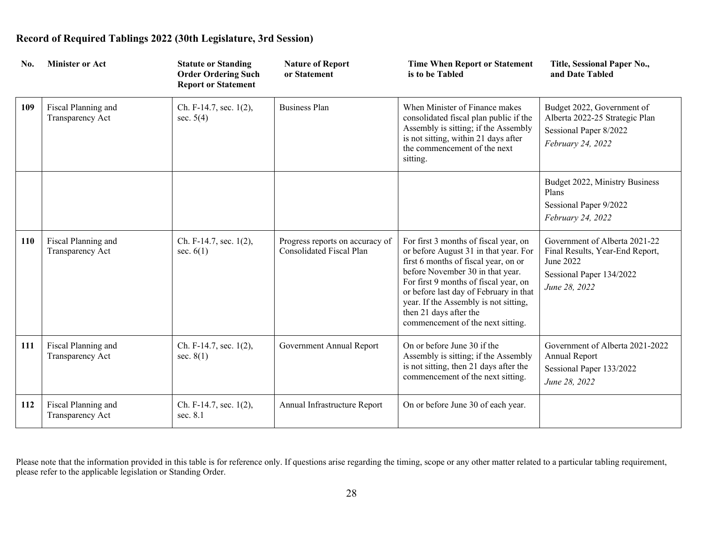| No. | <b>Minister or Act</b>                  | <b>Statute or Standing</b><br><b>Order Ordering Such</b><br><b>Report or Statement</b> | <b>Nature of Report</b><br>or Statement                     | <b>Time When Report or Statement</b><br>is to be Tabled                                                                                                                                                                                                                                                                                               | Title, Sessional Paper No.,<br>and Date Tabled                                                                             |
|-----|-----------------------------------------|----------------------------------------------------------------------------------------|-------------------------------------------------------------|-------------------------------------------------------------------------------------------------------------------------------------------------------------------------------------------------------------------------------------------------------------------------------------------------------------------------------------------------------|----------------------------------------------------------------------------------------------------------------------------|
| 109 | Fiscal Planning and<br>Transparency Act | Ch. F-14.7, sec. 1(2),<br>sec. $5(4)$                                                  | <b>Business Plan</b>                                        | When Minister of Finance makes<br>consolidated fiscal plan public if the<br>Assembly is sitting; if the Assembly<br>is not sitting, within 21 days after<br>the commencement of the next<br>sitting.                                                                                                                                                  | Budget 2022, Government of<br>Alberta 2022-25 Strategic Plan<br>Sessional Paper 8/2022<br>February 24, 2022                |
|     |                                         |                                                                                        |                                                             |                                                                                                                                                                                                                                                                                                                                                       | Budget 2022, Ministry Business<br>Plans<br>Sessional Paper 9/2022<br>February 24, 2022                                     |
| 110 | Fiscal Planning and<br>Transparency Act | Ch. F-14.7, sec. 1(2),<br>sec. $6(1)$                                                  | Progress reports on accuracy of<br>Consolidated Fiscal Plan | For first 3 months of fiscal year, on<br>or before August 31 in that year. For<br>first 6 months of fiscal year, on or<br>before November 30 in that year.<br>For first 9 months of fiscal year, on<br>or before last day of February in that<br>year. If the Assembly is not sitting,<br>then 21 days after the<br>commencement of the next sitting. | Government of Alberta 2021-22<br>Final Results, Year-End Report,<br>June 2022<br>Sessional Paper 134/2022<br>June 28, 2022 |
| 111 | Fiscal Planning and<br>Transparency Act | Ch. F-14.7, sec. 1(2),<br>sec. $8(1)$                                                  | Government Annual Report                                    | On or before June 30 if the<br>Assembly is sitting; if the Assembly<br>is not sitting, then 21 days after the<br>commencement of the next sitting.                                                                                                                                                                                                    | Government of Alberta 2021-2022<br>Annual Report<br>Sessional Paper 133/2022<br>June 28, 2022                              |
| 112 | Fiscal Planning and<br>Transparency Act | Ch. F-14.7, sec. 1(2),<br>sec. 8.1                                                     | Annual Infrastructure Report                                | On or before June 30 of each year.                                                                                                                                                                                                                                                                                                                    |                                                                                                                            |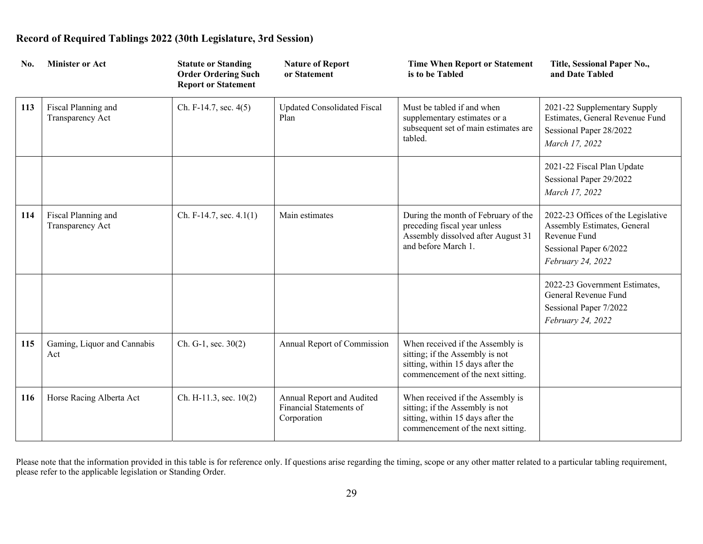| No. | <b>Minister or Act</b>                  | <b>Statute or Standing</b><br><b>Order Ordering Such</b><br><b>Report or Statement</b> | <b>Nature of Report</b><br>or Statement                             | <b>Time When Report or Statement</b><br>is to be Tabled                                                                                       | Title, Sessional Paper No.,<br>and Date Tabled                                                                                   |
|-----|-----------------------------------------|----------------------------------------------------------------------------------------|---------------------------------------------------------------------|-----------------------------------------------------------------------------------------------------------------------------------------------|----------------------------------------------------------------------------------------------------------------------------------|
| 113 | Fiscal Planning and<br>Transparency Act | Ch. F-14.7, sec. 4(5)                                                                  | Updated Consolidated Fiscal<br>Plan                                 | Must be tabled if and when<br>supplementary estimates or a<br>subsequent set of main estimates are<br>tabled.                                 | 2021-22 Supplementary Supply<br>Estimates, General Revenue Fund<br>Sessional Paper 28/2022<br>March 17, 2022                     |
|     |                                         |                                                                                        |                                                                     |                                                                                                                                               | 2021-22 Fiscal Plan Update<br>Sessional Paper 29/2022<br>March 17, 2022                                                          |
| 114 | Fiscal Planning and<br>Transparency Act | Ch. F-14.7, sec. $4.1(1)$                                                              | Main estimates                                                      | During the month of February of the<br>preceding fiscal year unless<br>Assembly dissolved after August 31<br>and before March 1.              | 2022-23 Offices of the Legislative<br>Assembly Estimates, General<br>Revenue Fund<br>Sessional Paper 6/2022<br>February 24, 2022 |
|     |                                         |                                                                                        |                                                                     |                                                                                                                                               | 2022-23 Government Estimates,<br>General Revenue Fund<br>Sessional Paper 7/2022<br>February 24, 2022                             |
| 115 | Gaming, Liquor and Cannabis<br>Act      | Ch. G-1, sec. 30(2)                                                                    | Annual Report of Commission                                         | When received if the Assembly is<br>sitting; if the Assembly is not<br>sitting, within 15 days after the<br>commencement of the next sitting. |                                                                                                                                  |
| 116 | Horse Racing Alberta Act                | Ch. H-11.3, sec. $10(2)$                                                               | Annual Report and Audited<br>Financial Statements of<br>Corporation | When received if the Assembly is<br>sitting; if the Assembly is not<br>sitting, within 15 days after the<br>commencement of the next sitting. |                                                                                                                                  |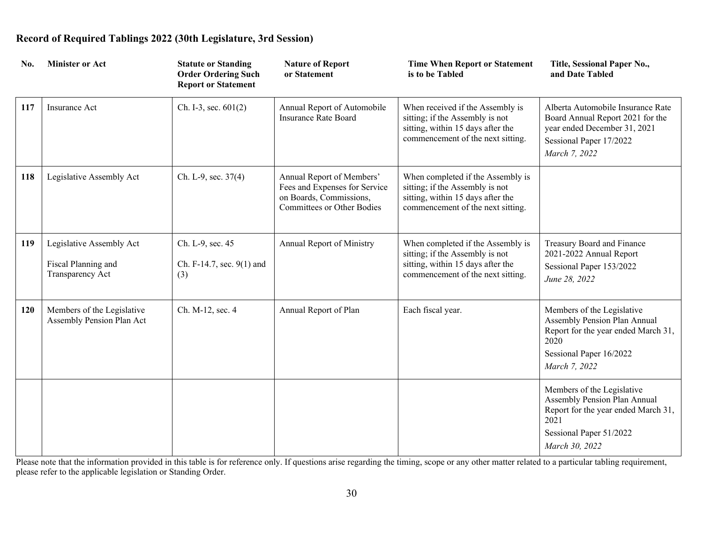| No. | <b>Minister or Act</b>                                              | <b>Statute or Standing</b><br><b>Order Ordering Such</b><br><b>Report or Statement</b> | <b>Nature of Report</b><br>or Statement                                                                                    | <b>Time When Report or Statement</b><br>is to be Tabled                                                                                        | Title, Sessional Paper No.,<br>and Date Tabled                                                                                                         |
|-----|---------------------------------------------------------------------|----------------------------------------------------------------------------------------|----------------------------------------------------------------------------------------------------------------------------|------------------------------------------------------------------------------------------------------------------------------------------------|--------------------------------------------------------------------------------------------------------------------------------------------------------|
| 117 | Insurance Act                                                       | Ch. I-3, sec. $601(2)$                                                                 | Annual Report of Automobile<br><b>Insurance Rate Board</b>                                                                 | When received if the Assembly is<br>sitting; if the Assembly is not<br>sitting, within 15 days after the<br>commencement of the next sitting.  | Alberta Automobile Insurance Rate<br>Board Annual Report 2021 for the<br>year ended December 31, 2021<br>Sessional Paper 17/2022<br>March 7, 2022      |
| 118 | Legislative Assembly Act                                            | Ch. L-9, sec. 37(4)                                                                    | Annual Report of Members'<br>Fees and Expenses for Service<br>on Boards, Commissions,<br><b>Committees or Other Bodies</b> | When completed if the Assembly is<br>sitting; if the Assembly is not<br>sitting, within 15 days after the<br>commencement of the next sitting. |                                                                                                                                                        |
| 119 | Legislative Assembly Act<br>Fiscal Planning and<br>Transparency Act | Ch. L-9, sec. 45<br>Ch. F-14.7, sec. 9(1) and<br>(3)                                   | <b>Annual Report of Ministry</b>                                                                                           | When completed if the Assembly is<br>sitting; if the Assembly is not<br>sitting, within 15 days after the<br>commencement of the next sitting. | Treasury Board and Finance<br>2021-2022 Annual Report<br>Sessional Paper 153/2022<br>June 28, 2022                                                     |
| 120 | Members of the Legislative<br>Assembly Pension Plan Act             | Ch. M-12, sec. 4                                                                       | Annual Report of Plan                                                                                                      | Each fiscal year.                                                                                                                              | Members of the Legislative<br>Assembly Pension Plan Annual<br>Report for the year ended March 31,<br>2020<br>Sessional Paper 16/2022<br>March 7, 2022  |
|     |                                                                     |                                                                                        |                                                                                                                            |                                                                                                                                                | Members of the Legislative<br>Assembly Pension Plan Annual<br>Report for the year ended March 31,<br>2021<br>Sessional Paper 51/2022<br>March 30, 2022 |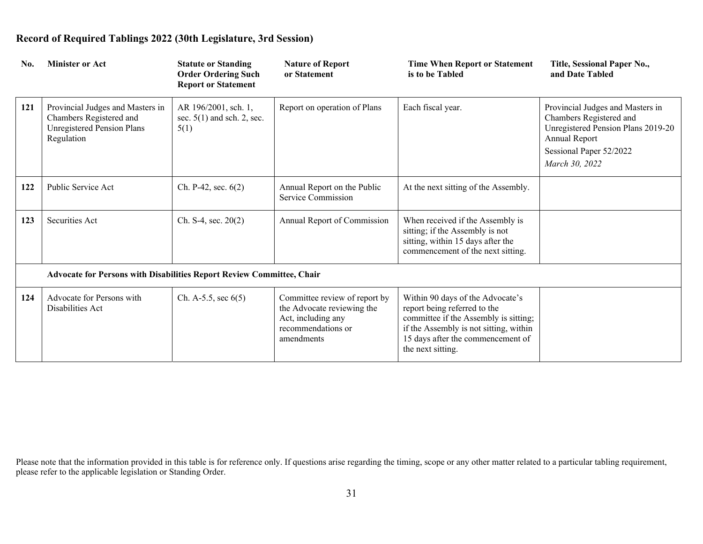| No. | <b>Minister or Act</b>                                                                                  | <b>Statute or Standing</b><br><b>Order Ordering Such</b><br><b>Report or Statement</b> | <b>Nature of Report</b><br>or Statement                                                                               | <b>Time When Report or Statement</b><br>is to be Tabled                                                                                                                                                       | Title, Sessional Paper No.,<br>and Date Tabled                                                                                                                  |
|-----|---------------------------------------------------------------------------------------------------------|----------------------------------------------------------------------------------------|-----------------------------------------------------------------------------------------------------------------------|---------------------------------------------------------------------------------------------------------------------------------------------------------------------------------------------------------------|-----------------------------------------------------------------------------------------------------------------------------------------------------------------|
| 121 | Provincial Judges and Masters in<br>Chambers Registered and<br>Unregistered Pension Plans<br>Regulation | AR 196/2001, sch. 1,<br>sec. $5(1)$ and sch. 2, sec.<br>5(1)                           | Report on operation of Plans                                                                                          | Each fiscal year.                                                                                                                                                                                             | Provincial Judges and Masters in<br>Chambers Registered and<br>Unregistered Pension Plans 2019-20<br>Annual Report<br>Sessional Paper 52/2022<br>March 30, 2022 |
| 122 | Public Service Act                                                                                      | Ch. P-42, sec. $6(2)$                                                                  | Annual Report on the Public<br>Service Commission                                                                     | At the next sitting of the Assembly.                                                                                                                                                                          |                                                                                                                                                                 |
| 123 | Securities Act                                                                                          | Ch. S-4, sec. $20(2)$                                                                  | Annual Report of Commission                                                                                           | When received if the Assembly is<br>sitting; if the Assembly is not<br>sitting, within 15 days after the<br>commencement of the next sitting.                                                                 |                                                                                                                                                                 |
|     | Advocate for Persons with Disabilities Report Review Committee, Chair                                   |                                                                                        |                                                                                                                       |                                                                                                                                                                                                               |                                                                                                                                                                 |
| 124 | Advocate for Persons with<br>Disabilities Act                                                           | Ch. A-5.5, sec $6(5)$                                                                  | Committee review of report by<br>the Advocate reviewing the<br>Act, including any<br>recommendations or<br>amendments | Within 90 days of the Advocate's<br>report being referred to the<br>committee if the Assembly is sitting;<br>if the Assembly is not sitting, within<br>15 days after the commencement of<br>the next sitting. |                                                                                                                                                                 |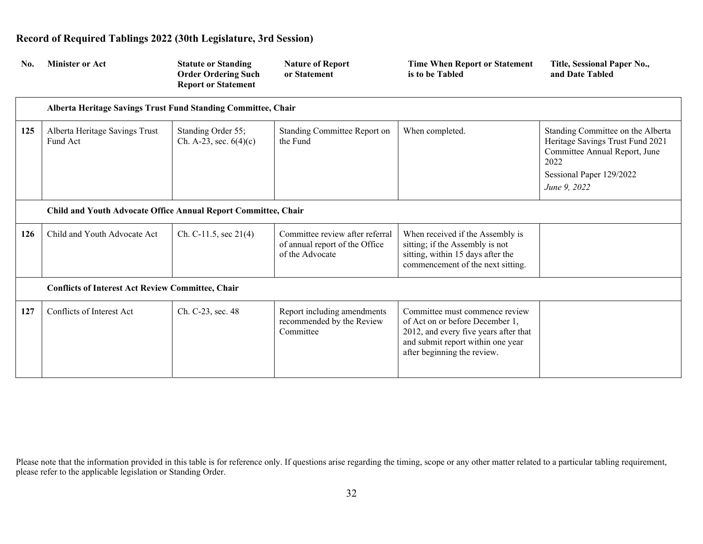| No. | <b>Minister or Act</b>                                         | <b>Statute or Standing</b><br><b>Order Ordering Such</b><br><b>Report or Statement</b> | <b>Nature of Report</b><br>or Statement                                              | <b>Time When Report or Statement</b><br>is to be Tabled                                                                                                                        | Title, Sessional Paper No.,<br>and Date Tabled                                                                                                             |
|-----|----------------------------------------------------------------|----------------------------------------------------------------------------------------|--------------------------------------------------------------------------------------|--------------------------------------------------------------------------------------------------------------------------------------------------------------------------------|------------------------------------------------------------------------------------------------------------------------------------------------------------|
|     | Alberta Heritage Savings Trust Fund Standing Committee, Chair  |                                                                                        |                                                                                      |                                                                                                                                                                                |                                                                                                                                                            |
| 125 | Alberta Heritage Savings Trust<br>Fund Act                     | Standing Order 55;<br>Ch. A-23, sec. $6(4)(c)$                                         | Standing Committee Report on<br>the Fund                                             | When completed.                                                                                                                                                                | Standing Committee on the Alberta<br>Heritage Savings Trust Fund 2021<br>Committee Annual Report, June<br>2022<br>Sessional Paper 129/2022<br>June 9, 2022 |
|     | Child and Youth Advocate Office Annual Report Committee, Chair |                                                                                        |                                                                                      |                                                                                                                                                                                |                                                                                                                                                            |
| 126 | Child and Youth Advocate Act                                   | Ch. C-11.5, sec $21(4)$                                                                | Committee review after referral<br>of annual report of the Office<br>of the Advocate | When received if the Assembly is<br>sitting; if the Assembly is not<br>sitting, within 15 days after the<br>commencement of the next sitting.                                  |                                                                                                                                                            |
|     | <b>Conflicts of Interest Act Review Committee, Chair</b>       |                                                                                        |                                                                                      |                                                                                                                                                                                |                                                                                                                                                            |
| 127 | Conflicts of Interest Act                                      | Ch. C-23, sec. 48                                                                      | Report including amendments<br>recommended by the Review<br>Committee                | Committee must commence review<br>of Act on or before December 1,<br>2012, and every five years after that<br>and submit report within one year<br>after beginning the review. |                                                                                                                                                            |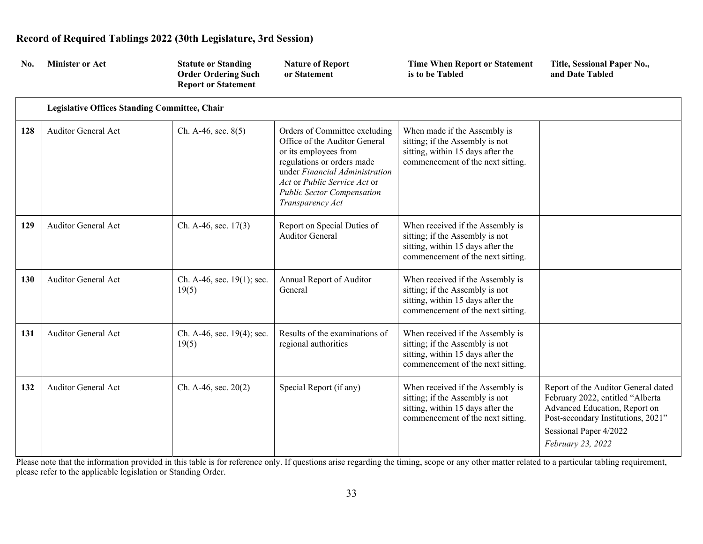| No. | <b>Minister or Act</b>                               | <b>Statute or Standing</b><br><b>Order Ordering Such</b><br><b>Report or Statement</b> | <b>Nature of Report</b><br>or Statement                                                                                                                                                                                                          | <b>Time When Report or Statement</b><br>is to be Tabled                                                                                       | Title, Sessional Paper No.,<br>and Date Tabled                                                                                                                                                |
|-----|------------------------------------------------------|----------------------------------------------------------------------------------------|--------------------------------------------------------------------------------------------------------------------------------------------------------------------------------------------------------------------------------------------------|-----------------------------------------------------------------------------------------------------------------------------------------------|-----------------------------------------------------------------------------------------------------------------------------------------------------------------------------------------------|
|     | <b>Legislative Offices Standing Committee, Chair</b> |                                                                                        |                                                                                                                                                                                                                                                  |                                                                                                                                               |                                                                                                                                                                                               |
| 128 | <b>Auditor General Act</b>                           | Ch. A-46, sec. 8(5)                                                                    | Orders of Committee excluding<br>Office of the Auditor General<br>or its employees from<br>regulations or orders made<br>under Financial Administration<br>Act or Public Service Act or<br><b>Public Sector Compensation</b><br>Transparency Act | When made if the Assembly is<br>sitting; if the Assembly is not<br>sitting, within 15 days after the<br>commencement of the next sitting.     |                                                                                                                                                                                               |
| 129 | <b>Auditor General Act</b>                           | Ch. A-46, sec. $17(3)$                                                                 | Report on Special Duties of<br><b>Auditor General</b>                                                                                                                                                                                            | When received if the Assembly is<br>sitting; if the Assembly is not<br>sitting, within 15 days after the<br>commencement of the next sitting. |                                                                                                                                                                                               |
| 130 | <b>Auditor General Act</b>                           | Ch. A-46, sec. 19(1); sec.<br>19(5)                                                    | Annual Report of Auditor<br>General                                                                                                                                                                                                              | When received if the Assembly is<br>sitting; if the Assembly is not<br>sitting, within 15 days after the<br>commencement of the next sitting. |                                                                                                                                                                                               |
| 131 | <b>Auditor General Act</b>                           | Ch. A-46, sec. 19(4); sec.<br>19(5)                                                    | Results of the examinations of<br>regional authorities                                                                                                                                                                                           | When received if the Assembly is<br>sitting; if the Assembly is not<br>sitting, within 15 days after the<br>commencement of the next sitting. |                                                                                                                                                                                               |
| 132 | <b>Auditor General Act</b>                           | Ch. A-46, sec. $20(2)$                                                                 | Special Report (if any)                                                                                                                                                                                                                          | When received if the Assembly is<br>sitting; if the Assembly is not<br>sitting, within 15 days after the<br>commencement of the next sitting. | Report of the Auditor General dated<br>February 2022, entitled "Alberta<br>Advanced Education, Report on<br>Post-secondary Institutions, 2021"<br>Sessional Paper 4/2022<br>February 23, 2022 |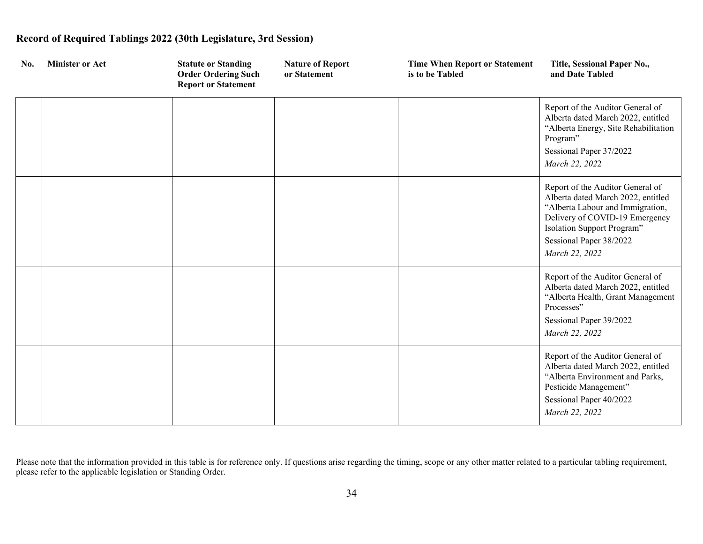| No. | <b>Minister or Act</b> | <b>Statute or Standing</b><br><b>Order Ordering Such</b><br><b>Report or Statement</b> | <b>Nature of Report</b><br>or Statement | <b>Time When Report or Statement</b><br>is to be Tabled | Title, Sessional Paper No.,<br>and Date Tabled                                                                                                                                                                          |
|-----|------------------------|----------------------------------------------------------------------------------------|-----------------------------------------|---------------------------------------------------------|-------------------------------------------------------------------------------------------------------------------------------------------------------------------------------------------------------------------------|
|     |                        |                                                                                        |                                         |                                                         | Report of the Auditor General of<br>Alberta dated March 2022, entitled<br>"Alberta Energy, Site Rehabilitation<br>Program"                                                                                              |
|     |                        |                                                                                        |                                         |                                                         | Sessional Paper 37/2022<br>March 22, 2022                                                                                                                                                                               |
|     |                        |                                                                                        |                                         |                                                         | Report of the Auditor General of<br>Alberta dated March 2022, entitled<br>"Alberta Labour and Immigration,<br>Delivery of COVID-19 Emergency<br>Isolation Support Program"<br>Sessional Paper 38/2022<br>March 22, 2022 |
|     |                        |                                                                                        |                                         |                                                         | Report of the Auditor General of<br>Alberta dated March 2022, entitled<br>"Alberta Health, Grant Management<br>Processes"<br>Sessional Paper 39/2022<br>March 22, 2022                                                  |
|     |                        |                                                                                        |                                         |                                                         | Report of the Auditor General of<br>Alberta dated March 2022, entitled<br>"Alberta Environment and Parks,<br>Pesticide Management"<br>Sessional Paper 40/2022<br>March 22, 2022                                         |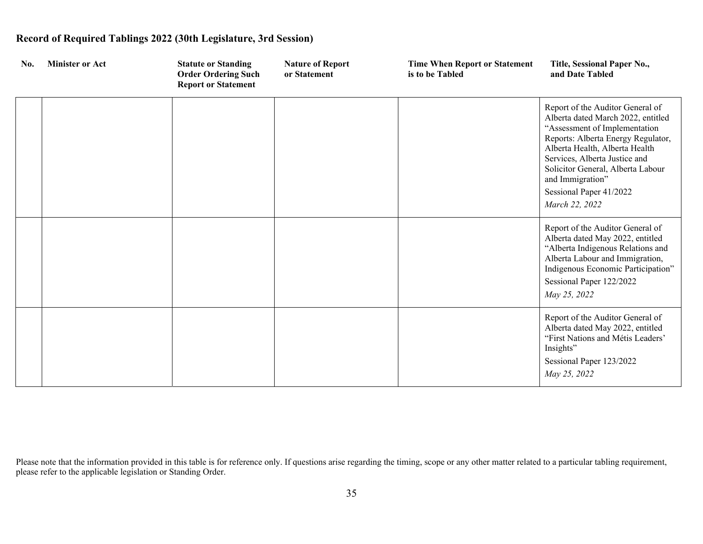| No. | <b>Minister or Act</b> | <b>Statute or Standing</b><br><b>Order Ordering Such</b><br><b>Report or Statement</b> | <b>Nature of Report</b><br>or Statement | <b>Time When Report or Statement</b><br>is to be Tabled | Title, Sessional Paper No.,<br>and Date Tabled                                                                                                                                                                                                                                                                         |
|-----|------------------------|----------------------------------------------------------------------------------------|-----------------------------------------|---------------------------------------------------------|------------------------------------------------------------------------------------------------------------------------------------------------------------------------------------------------------------------------------------------------------------------------------------------------------------------------|
|     |                        |                                                                                        |                                         |                                                         | Report of the Auditor General of<br>Alberta dated March 2022, entitled<br>"Assessment of Implementation<br>Reports: Alberta Energy Regulator,<br>Alberta Health, Alberta Health<br>Services, Alberta Justice and<br>Solicitor General, Alberta Labour<br>and Immigration"<br>Sessional Paper 41/2022<br>March 22, 2022 |
|     |                        |                                                                                        |                                         |                                                         | Report of the Auditor General of<br>Alberta dated May 2022, entitled<br>"Alberta Indigenous Relations and<br>Alberta Labour and Immigration,<br>Indigenous Economic Participation"<br>Sessional Paper 122/2022<br>May 25, 2022                                                                                         |
|     |                        |                                                                                        |                                         |                                                         | Report of the Auditor General of<br>Alberta dated May 2022, entitled<br>"First Nations and Métis Leaders"<br>Insights"<br>Sessional Paper 123/2022<br>May 25, 2022                                                                                                                                                     |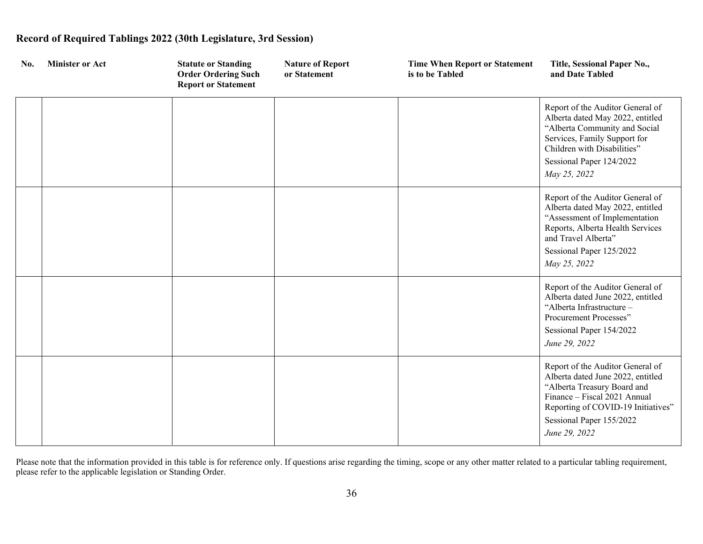| No. | <b>Minister or Act</b> | <b>Statute or Standing</b><br><b>Order Ordering Such</b><br><b>Report or Statement</b> | <b>Nature of Report</b><br>or Statement | <b>Time When Report or Statement</b><br>is to be Tabled | Title, Sessional Paper No.,<br>and Date Tabled                                                                                                                                                                          |
|-----|------------------------|----------------------------------------------------------------------------------------|-----------------------------------------|---------------------------------------------------------|-------------------------------------------------------------------------------------------------------------------------------------------------------------------------------------------------------------------------|
|     |                        |                                                                                        |                                         |                                                         | Report of the Auditor General of<br>Alberta dated May 2022, entitled<br>"Alberta Community and Social<br>Services, Family Support for<br>Children with Disabilities"                                                    |
|     |                        |                                                                                        |                                         |                                                         | Sessional Paper 124/2022<br>May 25, 2022                                                                                                                                                                                |
|     |                        |                                                                                        |                                         |                                                         | Report of the Auditor General of<br>Alberta dated May 2022, entitled<br>"Assessment of Implementation<br>Reports, Alberta Health Services<br>and Travel Alberta"<br>Sessional Paper 125/2022<br>May 25, 2022            |
|     |                        |                                                                                        |                                         |                                                         | Report of the Auditor General of<br>Alberta dated June 2022, entitled<br>"Alberta Infrastructure -<br>Procurement Processes"<br>Sessional Paper 154/2022<br>June 29, 2022                                               |
|     |                        |                                                                                        |                                         |                                                         | Report of the Auditor General of<br>Alberta dated June 2022, entitled<br>"Alberta Treasury Board and<br>Finance - Fiscal 2021 Annual<br>Reporting of COVID-19 Initiatives"<br>Sessional Paper 155/2022<br>June 29, 2022 |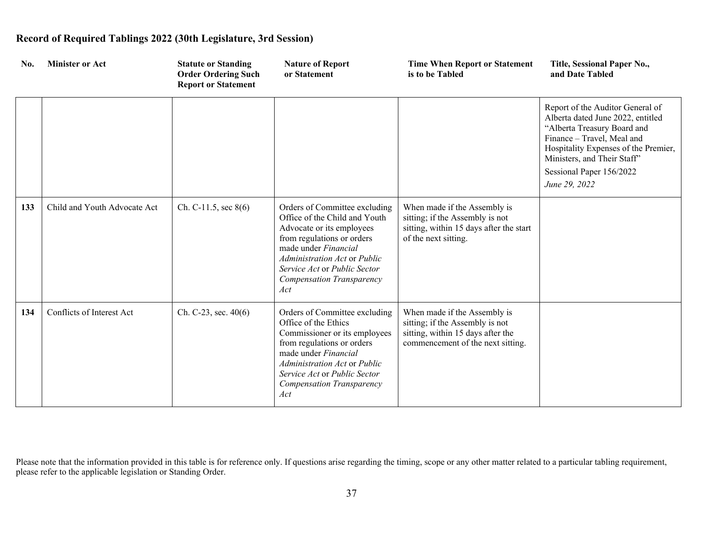| No. | <b>Minister or Act</b>       | <b>Statute or Standing</b><br><b>Order Ordering Such</b><br><b>Report or Statement</b> | <b>Nature of Report</b><br>or Statement                                                                                                                                                                                                               | <b>Time When Report or Statement</b><br>is to be Tabled                                                                                   | Title, Sessional Paper No.,<br>and Date Tabled                                                                                                                                                                                                         |
|-----|------------------------------|----------------------------------------------------------------------------------------|-------------------------------------------------------------------------------------------------------------------------------------------------------------------------------------------------------------------------------------------------------|-------------------------------------------------------------------------------------------------------------------------------------------|--------------------------------------------------------------------------------------------------------------------------------------------------------------------------------------------------------------------------------------------------------|
|     |                              |                                                                                        |                                                                                                                                                                                                                                                       |                                                                                                                                           | Report of the Auditor General of<br>Alberta dated June 2022, entitled<br>"Alberta Treasury Board and<br>Finance - Travel, Meal and<br>Hospitality Expenses of the Premier,<br>Ministers, and Their Staff"<br>Sessional Paper 156/2022<br>June 29, 2022 |
| 133 | Child and Youth Advocate Act | Ch. C-11.5, sec $8(6)$                                                                 | Orders of Committee excluding<br>Office of the Child and Youth<br>Advocate or its employees<br>from regulations or orders<br>made under Financial<br>Administration Act or Public<br>Service Act or Public Sector<br>Compensation Transparency<br>Act | When made if the Assembly is<br>sitting; if the Assembly is not<br>sitting, within 15 days after the start<br>of the next sitting.        |                                                                                                                                                                                                                                                        |
| 134 | Conflicts of Interest Act    | Ch. C-23, sec. $40(6)$                                                                 | Orders of Committee excluding<br>Office of the Ethics<br>Commissioner or its employees<br>from regulations or orders<br>made under Financial<br>Administration Act or Public<br>Service Act or Public Sector<br>Compensation Transparency<br>Act      | When made if the Assembly is<br>sitting; if the Assembly is not<br>sitting, within 15 days after the<br>commencement of the next sitting. |                                                                                                                                                                                                                                                        |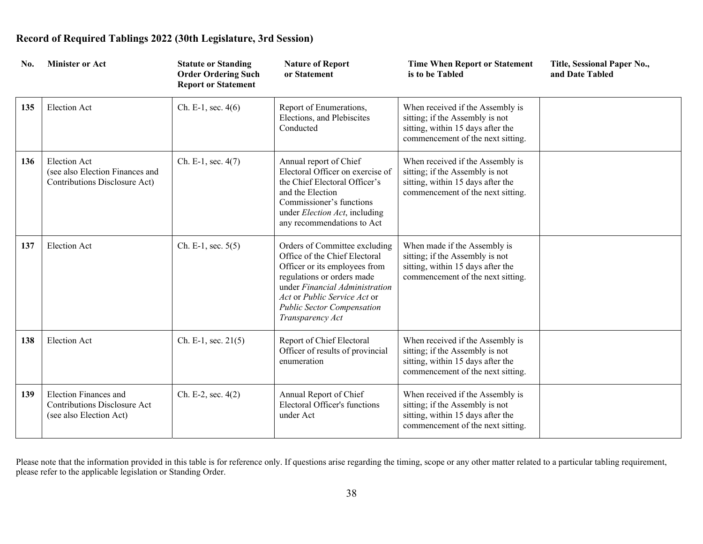| No. | <b>Minister or Act</b>                                                                  | <b>Statute or Standing</b><br><b>Order Ordering Such</b><br><b>Report or Statement</b> | <b>Nature of Report</b><br>or Statement                                                                                                                                                                                                                  | <b>Time When Report or Statement</b><br>is to be Tabled                                                                                       | Title, Sessional Paper No.,<br>and Date Tabled |
|-----|-----------------------------------------------------------------------------------------|----------------------------------------------------------------------------------------|----------------------------------------------------------------------------------------------------------------------------------------------------------------------------------------------------------------------------------------------------------|-----------------------------------------------------------------------------------------------------------------------------------------------|------------------------------------------------|
| 135 | <b>Election Act</b>                                                                     | Ch. E-1, sec. $4(6)$                                                                   | Report of Enumerations,<br>Elections, and Plebiscites<br>Conducted                                                                                                                                                                                       | When received if the Assembly is<br>sitting; if the Assembly is not<br>sitting, within 15 days after the<br>commencement of the next sitting. |                                                |
| 136 | <b>Election Act</b><br>(see also Election Finances and<br>Contributions Disclosure Act) | Ch. E-1, sec. 4(7)                                                                     | Annual report of Chief<br>Electoral Officer on exercise of<br>the Chief Electoral Officer's<br>and the Election<br>Commissioner's functions<br>under Election Act, including<br>any recommendations to Act                                               | When received if the Assembly is<br>sitting; if the Assembly is not<br>sitting, within 15 days after the<br>commencement of the next sitting. |                                                |
| 137 | <b>Election Act</b>                                                                     | Ch. E-1, sec. $5(5)$                                                                   | Orders of Committee excluding<br>Office of the Chief Electoral<br>Officer or its employees from<br>regulations or orders made<br>under Financial Administration<br>Act or Public Service Act or<br><b>Public Sector Compensation</b><br>Transparency Act | When made if the Assembly is<br>sitting; if the Assembly is not<br>sitting, within 15 days after the<br>commencement of the next sitting.     |                                                |
| 138 | <b>Election Act</b>                                                                     | Ch. E-1, sec. 21(5)                                                                    | Report of Chief Electoral<br>Officer of results of provincial<br>enumeration                                                                                                                                                                             | When received if the Assembly is<br>sitting; if the Assembly is not<br>sitting, within 15 days after the<br>commencement of the next sitting. |                                                |
| 139 | Election Finances and<br><b>Contributions Disclosure Act</b><br>(see also Election Act) | Ch. E-2, sec. $4(2)$                                                                   | Annual Report of Chief<br>Electoral Officer's functions<br>under Act                                                                                                                                                                                     | When received if the Assembly is<br>sitting; if the Assembly is not<br>sitting, within 15 days after the<br>commencement of the next sitting. |                                                |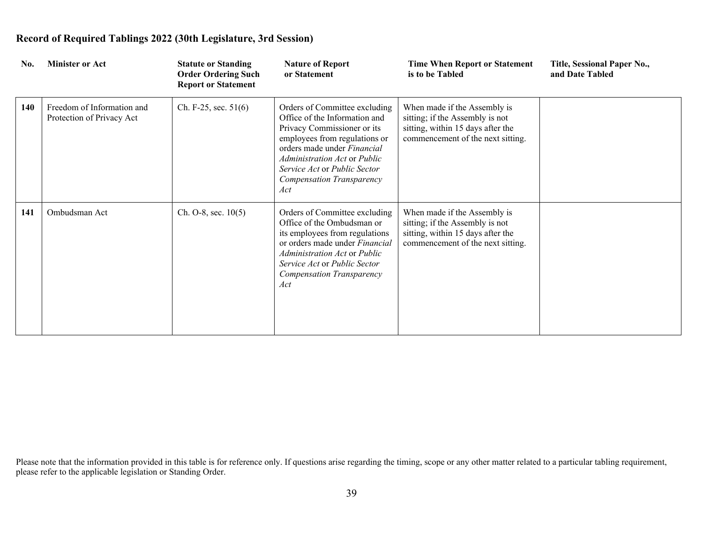| No. | <b>Minister or Act</b>                                  | <b>Statute or Standing</b><br><b>Order Ordering Such</b><br><b>Report or Statement</b> | <b>Nature of Report</b><br>or Statement                                                                                                                                                                                                                                  | <b>Time When Report or Statement</b><br>is to be Tabled                                                                                   | Title, Sessional Paper No.,<br>and Date Tabled |
|-----|---------------------------------------------------------|----------------------------------------------------------------------------------------|--------------------------------------------------------------------------------------------------------------------------------------------------------------------------------------------------------------------------------------------------------------------------|-------------------------------------------------------------------------------------------------------------------------------------------|------------------------------------------------|
| 140 | Freedom of Information and<br>Protection of Privacy Act | Ch. F-25, sec. $51(6)$                                                                 | Orders of Committee excluding<br>Office of the Information and<br>Privacy Commissioner or its<br>employees from regulations or<br>orders made under <i>Financial</i><br>Administration Act or Public<br>Service Act or Public Sector<br>Compensation Transparency<br>Act | When made if the Assembly is<br>sitting; if the Assembly is not<br>sitting, within 15 days after the<br>commencement of the next sitting. |                                                |
| 141 | Ombudsman Act                                           | $Ch. O-8$ , sec. $10(5)$                                                               | Orders of Committee excluding<br>Office of the Ombudsman or<br>its employees from regulations<br>or orders made under Financial<br>Administration Act or Public<br>Service Act or Public Sector<br>Compensation Transparency<br>Act                                      | When made if the Assembly is<br>sitting; if the Assembly is not<br>sitting, within 15 days after the<br>commencement of the next sitting. |                                                |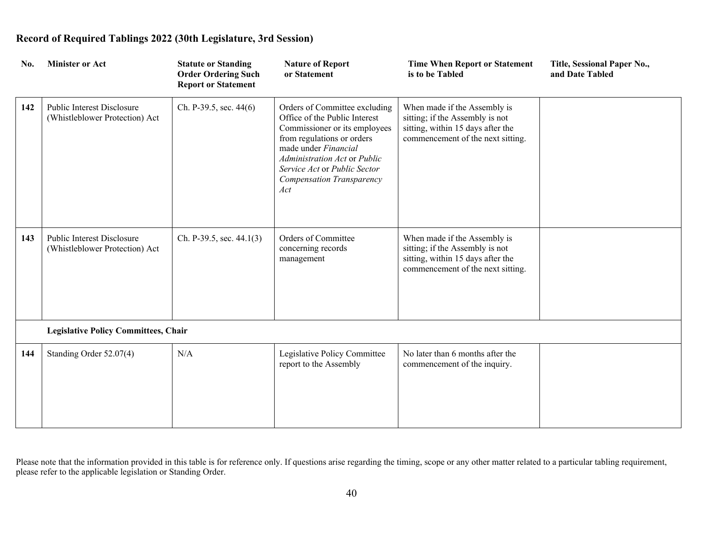| No. | <b>Minister or Act</b>                                              | <b>Statute or Standing</b><br><b>Order Ordering Such</b><br><b>Report or Statement</b> | <b>Nature of Report</b><br>or Statement                                                                                                                                                                                                                   | <b>Time When Report or Statement</b><br>is to be Tabled                                                                                   | Title, Sessional Paper No.,<br>and Date Tabled |
|-----|---------------------------------------------------------------------|----------------------------------------------------------------------------------------|-----------------------------------------------------------------------------------------------------------------------------------------------------------------------------------------------------------------------------------------------------------|-------------------------------------------------------------------------------------------------------------------------------------------|------------------------------------------------|
| 142 | Public Interest Disclosure<br>(Whistleblower Protection) Act        | Ch. P-39.5, sec. $44(6)$                                                               | Orders of Committee excluding<br>Office of the Public Interest<br>Commissioner or its employees<br>from regulations or orders<br>made under Financial<br>Administration Act or Public<br>Service Act or Public Sector<br>Compensation Transparency<br>Act | When made if the Assembly is<br>sitting; if the Assembly is not<br>sitting, within 15 days after the<br>commencement of the next sitting. |                                                |
| 143 | <b>Public Interest Disclosure</b><br>(Whistleblower Protection) Act | Ch. P-39.5, sec. 44.1(3)                                                               | Orders of Committee<br>concerning records<br>management                                                                                                                                                                                                   | When made if the Assembly is<br>sitting; if the Assembly is not<br>sitting, within 15 days after the<br>commencement of the next sitting. |                                                |
|     | <b>Legislative Policy Committees, Chair</b>                         |                                                                                        |                                                                                                                                                                                                                                                           |                                                                                                                                           |                                                |
| 144 | Standing Order 52.07(4)                                             | N/A                                                                                    | Legislative Policy Committee<br>report to the Assembly                                                                                                                                                                                                    | No later than 6 months after the<br>commencement of the inquiry.                                                                          |                                                |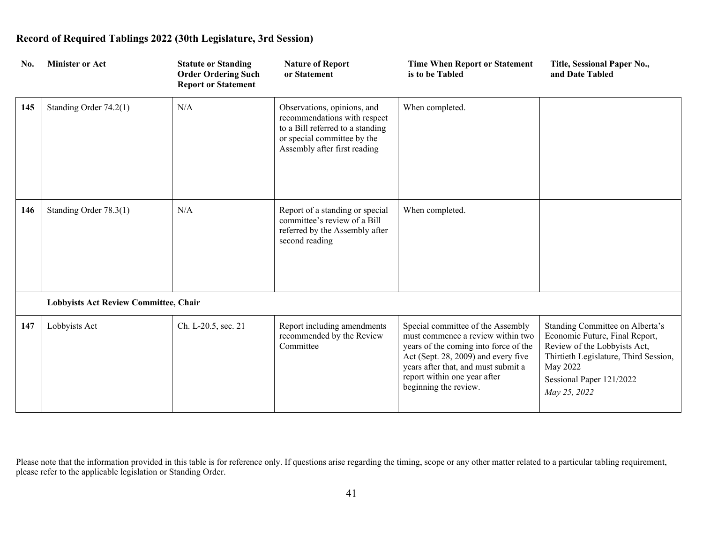| No. | <b>Minister or Act</b>                | <b>Statute or Standing</b><br><b>Order Ordering Such</b><br><b>Report or Statement</b> | <b>Nature of Report</b><br>or Statement                                                                                                                        | <b>Time When Report or Statement</b><br>is to be Tabled                                                                                                                                                                                                | Title, Sessional Paper No.,<br>and Date Tabled                                                                                                                                                     |
|-----|---------------------------------------|----------------------------------------------------------------------------------------|----------------------------------------------------------------------------------------------------------------------------------------------------------------|--------------------------------------------------------------------------------------------------------------------------------------------------------------------------------------------------------------------------------------------------------|----------------------------------------------------------------------------------------------------------------------------------------------------------------------------------------------------|
| 145 | Standing Order 74.2(1)                | N/A                                                                                    | Observations, opinions, and<br>recommendations with respect<br>to a Bill referred to a standing<br>or special committee by the<br>Assembly after first reading | When completed.                                                                                                                                                                                                                                        |                                                                                                                                                                                                    |
| 146 | Standing Order 78.3(1)                | N/A                                                                                    | Report of a standing or special<br>committee's review of a Bill<br>referred by the Assembly after<br>second reading                                            | When completed.                                                                                                                                                                                                                                        |                                                                                                                                                                                                    |
|     | Lobbyists Act Review Committee, Chair |                                                                                        |                                                                                                                                                                |                                                                                                                                                                                                                                                        |                                                                                                                                                                                                    |
| 147 | Lobbyists Act                         | Ch. L-20.5, sec. 21                                                                    | Report including amendments<br>recommended by the Review<br>Committee                                                                                          | Special committee of the Assembly<br>must commence a review within two<br>years of the coming into force of the<br>Act (Sept. 28, 2009) and every five<br>years after that, and must submit a<br>report within one year after<br>beginning the review. | Standing Committee on Alberta's<br>Economic Future, Final Report,<br>Review of the Lobbyists Act,<br>Thirtieth Legislature, Third Session,<br>May 2022<br>Sessional Paper 121/2022<br>May 25, 2022 |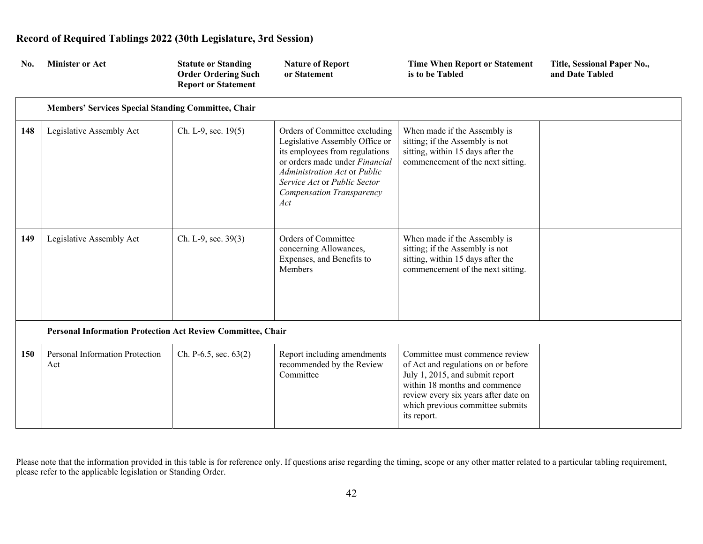| No. | <b>Minister or Act</b>                                      | <b>Statute or Standing</b><br><b>Order Ordering Such</b><br><b>Report or Statement</b> | <b>Nature of Report</b><br>or Statement                                                                                                                                                                                                 | <b>Time When Report or Statement</b><br>is to be Tabled                                                                                                                                                                              | Title, Sessional Paper No.,<br>and Date Tabled |
|-----|-------------------------------------------------------------|----------------------------------------------------------------------------------------|-----------------------------------------------------------------------------------------------------------------------------------------------------------------------------------------------------------------------------------------|--------------------------------------------------------------------------------------------------------------------------------------------------------------------------------------------------------------------------------------|------------------------------------------------|
|     | Members' Services Special Standing Committee, Chair         |                                                                                        |                                                                                                                                                                                                                                         |                                                                                                                                                                                                                                      |                                                |
| 148 | Legislative Assembly Act                                    | Ch. L-9, sec. 19(5)                                                                    | Orders of Committee excluding<br>Legislative Assembly Office or<br>its employees from regulations<br>or orders made under Financial<br>Administration Act or Public<br>Service Act or Public Sector<br>Compensation Transparency<br>Act | When made if the Assembly is<br>sitting; if the Assembly is not<br>sitting, within 15 days after the<br>commencement of the next sitting.                                                                                            |                                                |
| 149 | Legislative Assembly Act                                    | Ch. L-9, sec. 39(3)                                                                    | Orders of Committee<br>concerning Allowances,<br>Expenses, and Benefits to<br>Members                                                                                                                                                   | When made if the Assembly is<br>sitting; if the Assembly is not<br>sitting, within 15 days after the<br>commencement of the next sitting.                                                                                            |                                                |
|     | Personal Information Protection Act Review Committee, Chair |                                                                                        |                                                                                                                                                                                                                                         |                                                                                                                                                                                                                                      |                                                |
| 150 | Personal Information Protection<br>Act                      | Ch. P-6.5, sec. 63(2)                                                                  | Report including amendments<br>recommended by the Review<br>Committee                                                                                                                                                                   | Committee must commence review<br>of Act and regulations on or before<br>July 1, 2015, and submit report<br>within 18 months and commence<br>review every six years after date on<br>which previous committee submits<br>its report. |                                                |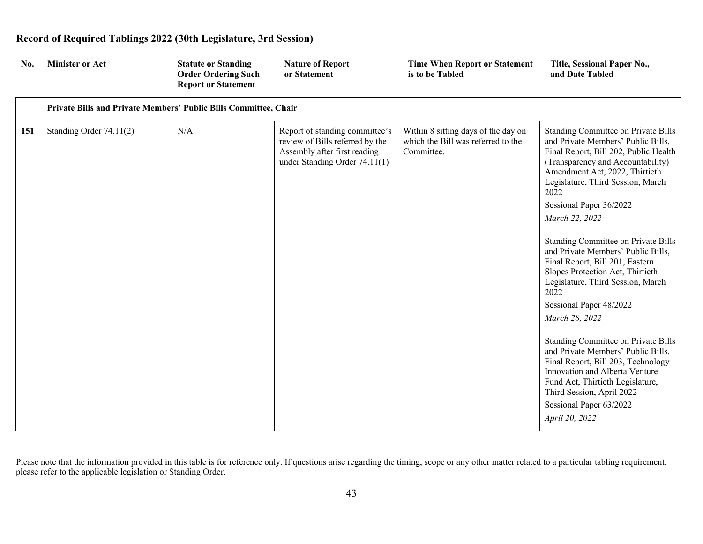| No. | <b>Minister or Act</b>                                           | <b>Statute or Standing</b><br><b>Order Ordering Such</b><br><b>Report or Statement</b> | <b>Nature of Report</b><br>or Statement                                                                                              | <b>Time When Report or Statement</b><br>is to be Tabled                                 | Title, Sessional Paper No.,<br>and Date Tabled                                                                                                                                                                                                                                             |
|-----|------------------------------------------------------------------|----------------------------------------------------------------------------------------|--------------------------------------------------------------------------------------------------------------------------------------|-----------------------------------------------------------------------------------------|--------------------------------------------------------------------------------------------------------------------------------------------------------------------------------------------------------------------------------------------------------------------------------------------|
|     | Private Bills and Private Members' Public Bills Committee, Chair |                                                                                        |                                                                                                                                      |                                                                                         |                                                                                                                                                                                                                                                                                            |
| 151 | Standing Order 74.11(2)                                          | N/A                                                                                    | Report of standing committee's<br>review of Bills referred by the<br>Assembly after first reading<br>under Standing Order $74.11(1)$ | Within 8 sitting days of the day on<br>which the Bill was referred to the<br>Committee. | <b>Standing Committee on Private Bills</b><br>and Private Members' Public Bills,<br>Final Report, Bill 202, Public Health<br>(Transparency and Accountability)<br>Amendment Act, 2022, Thirtieth<br>Legislature, Third Session, March<br>2022<br>Sessional Paper 36/2022<br>March 22, 2022 |
|     |                                                                  |                                                                                        |                                                                                                                                      |                                                                                         | Standing Committee on Private Bills<br>and Private Members' Public Bills,<br>Final Report, Bill 201, Eastern<br>Slopes Protection Act, Thirtieth<br>Legislature, Third Session, March<br>2022<br>Sessional Paper 48/2022<br>March 28, 2022                                                 |
|     |                                                                  |                                                                                        |                                                                                                                                      |                                                                                         | Standing Committee on Private Bills<br>and Private Members' Public Bills,<br>Final Report, Bill 203, Technology<br>Innovation and Alberta Venture<br>Fund Act, Thirtieth Legislature,<br>Third Session, April 2022                                                                         |

Please note that the information provided in this table is for reference only. If questions arise regarding the timing, scope or any other matter related to a particular tabling requirement, please refer to the applicable legislation or Standing Order.

Sessional Paper 63/2022

*April 20, 2022*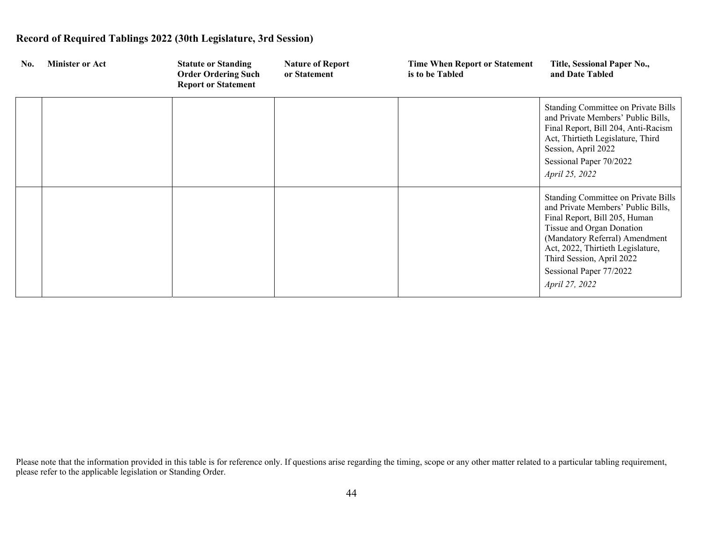| No. | <b>Minister or Act</b> | <b>Statute or Standing</b><br><b>Order Ordering Such</b><br><b>Report or Statement</b> | <b>Nature of Report</b><br>or Statement | <b>Time When Report or Statement</b><br>is to be Tabled | Title, Sessional Paper No.,<br>and Date Tabled                                                                                                                                                                                                                                           |
|-----|------------------------|----------------------------------------------------------------------------------------|-----------------------------------------|---------------------------------------------------------|------------------------------------------------------------------------------------------------------------------------------------------------------------------------------------------------------------------------------------------------------------------------------------------|
|     |                        |                                                                                        |                                         |                                                         | Standing Committee on Private Bills<br>and Private Members' Public Bills,<br>Final Report, Bill 204, Anti-Racism<br>Act, Thirtieth Legislature, Third<br>Session, April 2022<br>Sessional Paper 70/2022<br>April 25, 2022                                                                |
|     |                        |                                                                                        |                                         |                                                         | Standing Committee on Private Bills<br>and Private Members' Public Bills,<br>Final Report, Bill 205, Human<br>Tissue and Organ Donation<br>(Mandatory Referral) Amendment<br>Act, 2022, Thirtieth Legislature,<br>Third Session, April 2022<br>Sessional Paper 77/2022<br>April 27, 2022 |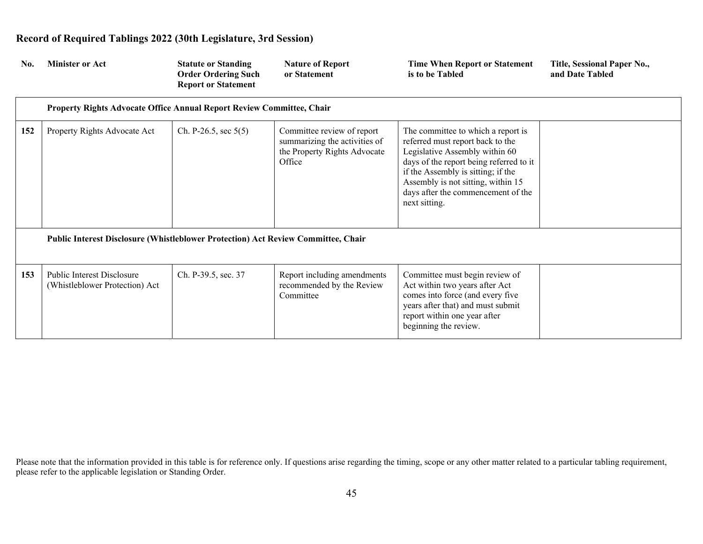| No. | <b>Minister or Act</b>                                                            | <b>Statute or Standing</b><br><b>Order Ordering Such</b><br><b>Report or Statement</b> | <b>Nature of Report</b><br>or Statement                                                               | <b>Time When Report or Statement</b><br>is to be Tabled                                                                                                                                                                                                                                | Title, Sessional Paper No.,<br>and Date Tabled |
|-----|-----------------------------------------------------------------------------------|----------------------------------------------------------------------------------------|-------------------------------------------------------------------------------------------------------|----------------------------------------------------------------------------------------------------------------------------------------------------------------------------------------------------------------------------------------------------------------------------------------|------------------------------------------------|
|     | Property Rights Advocate Office Annual Report Review Committee, Chair             |                                                                                        |                                                                                                       |                                                                                                                                                                                                                                                                                        |                                                |
| 152 | Property Rights Advocate Act                                                      | Ch. P-26.5, sec $5(5)$                                                                 | Committee review of report<br>summarizing the activities of<br>the Property Rights Advocate<br>Office | The committee to which a report is<br>referred must report back to the<br>Legislative Assembly within 60<br>days of the report being referred to it<br>if the Assembly is sitting; if the<br>Assembly is not sitting, within 15<br>days after the commencement of the<br>next sitting. |                                                |
|     | Public Interest Disclosure (Whistleblower Protection) Act Review Committee, Chair |                                                                                        |                                                                                                       |                                                                                                                                                                                                                                                                                        |                                                |
| 153 | Public Interest Disclosure<br>(Whistleblower Protection) Act                      | Ch. P-39.5, sec. 37                                                                    | Report including amendments<br>recommended by the Review<br>Committee                                 | Committee must begin review of<br>Act within two years after Act<br>comes into force (and every five<br>years after that) and must submit<br>report within one year after                                                                                                              |                                                |

Please note that the information provided in this table is for reference only. If questions arise regarding the timing, scope or any other matter related to a particular tabling requirement, please refer to the applicable legislation or Standing Order.

beginning the review.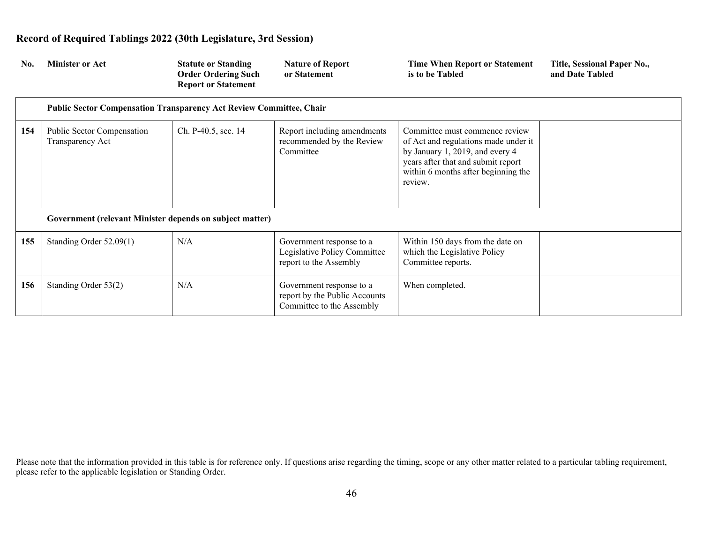| No. | <b>Minister or Act</b>                                                     | <b>Statute or Standing</b><br><b>Order Ordering Such</b><br><b>Report or Statement</b> | <b>Nature of Report</b><br>or Statement                                                | Time When Report or Statement<br>is to be Tabled                                                                                                                                                  | Title, Sessional Paper No.,<br>and Date Tabled |
|-----|----------------------------------------------------------------------------|----------------------------------------------------------------------------------------|----------------------------------------------------------------------------------------|---------------------------------------------------------------------------------------------------------------------------------------------------------------------------------------------------|------------------------------------------------|
|     | <b>Public Sector Compensation Transparency Act Review Committee, Chair</b> |                                                                                        |                                                                                        |                                                                                                                                                                                                   |                                                |
| 154 | Public Sector Compensation<br>Transparency Act                             | Ch. P-40.5, sec. 14                                                                    | Report including amendments<br>recommended by the Review<br>Committee                  | Committee must commence review<br>of Act and regulations made under it<br>by January 1, 2019, and every 4<br>years after that and submit report<br>within 6 months after beginning the<br>review. |                                                |
|     | Government (relevant Minister depends on subject matter)                   |                                                                                        |                                                                                        |                                                                                                                                                                                                   |                                                |
| 155 | Standing Order 52.09(1)                                                    | N/A                                                                                    | Government response to a<br>Legislative Policy Committee<br>report to the Assembly     | Within 150 days from the date on<br>which the Legislative Policy<br>Committee reports.                                                                                                            |                                                |
| 156 | Standing Order 53(2)                                                       | N/A                                                                                    | Government response to a<br>report by the Public Accounts<br>Committee to the Assembly | When completed.                                                                                                                                                                                   |                                                |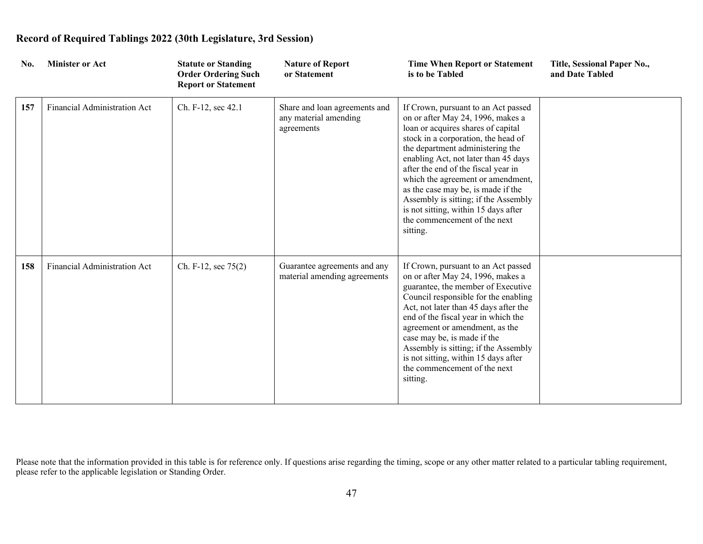| No. | <b>Minister or Act</b>       | <b>Statute or Standing</b><br><b>Order Ordering Such</b><br><b>Report or Statement</b> | <b>Nature of Report</b><br>or Statement                              | <b>Time When Report or Statement</b><br>is to be Tabled                                                                                                                                                                                                                                                                                                                                                                                                                         | Title, Sessional Paper No.,<br>and Date Tabled |
|-----|------------------------------|----------------------------------------------------------------------------------------|----------------------------------------------------------------------|---------------------------------------------------------------------------------------------------------------------------------------------------------------------------------------------------------------------------------------------------------------------------------------------------------------------------------------------------------------------------------------------------------------------------------------------------------------------------------|------------------------------------------------|
| 157 | Financial Administration Act | Ch. F-12, sec 42.1                                                                     | Share and loan agreements and<br>any material amending<br>agreements | If Crown, pursuant to an Act passed<br>on or after May 24, 1996, makes a<br>loan or acquires shares of capital<br>stock in a corporation, the head of<br>the department administering the<br>enabling Act, not later than 45 days<br>after the end of the fiscal year in<br>which the agreement or amendment,<br>as the case may be, is made if the<br>Assembly is sitting; if the Assembly<br>is not sitting, within 15 days after<br>the commencement of the next<br>sitting. |                                                |
| 158 | Financial Administration Act | Ch. F-12, sec 75(2)                                                                    | Guarantee agreements and any<br>material amending agreements         | If Crown, pursuant to an Act passed<br>on or after May 24, 1996, makes a<br>guarantee, the member of Executive<br>Council responsible for the enabling<br>Act, not later than 45 days after the<br>end of the fiscal year in which the<br>agreement or amendment, as the<br>case may be, is made if the<br>Assembly is sitting; if the Assembly<br>is not sitting, within 15 days after<br>the commencement of the next<br>sitting.                                             |                                                |